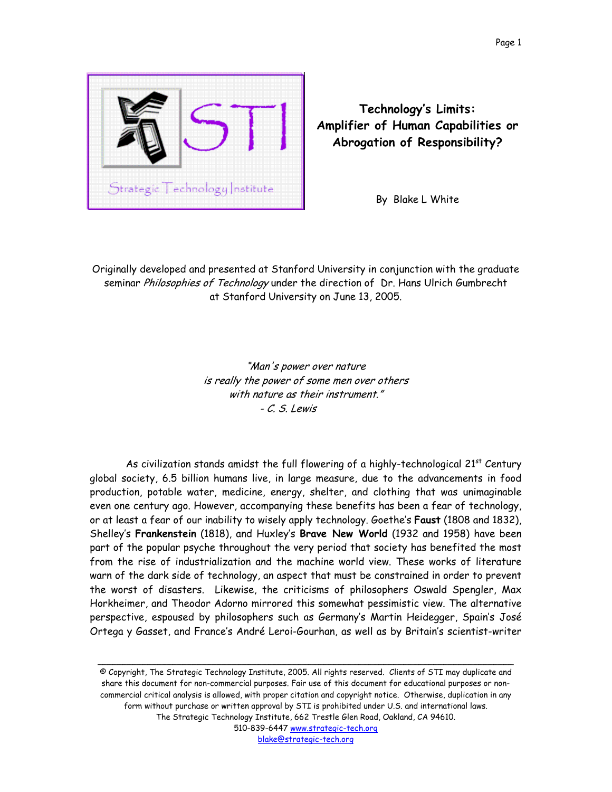

**Technology's Limits: Amplifier of Human Capabilities or Abrogation of Responsibility?**

By Blake L White

Originally developed and presented at Stanford University in conjunction with the graduate seminar Philosophies of Technology under the direction of Dr. Hans Ulrich Gumbrecht at Stanford University on June 13, 2005.

> "Man's power over nature is really the power of some men over others with nature as their instrument." - C. S. Lewis

As civilization stands amidst the full flowering of a highly-technological  $21^{st}$  Century global society, 6.5 billion humans live, in large measure, due to the advancements in food production, potable water, medicine, energy, shelter, and clothing that was unimaginable even one century ago. However, accompanying these benefits has been a fear of technology, or at least a fear of our inability to wisely apply technology. Goethe's **Faust** (1808 and 1832), Shelley's **Frankenstein** (1818), and Huxley's **Brave New World** (1932 and 1958) have been part of the popular psyche throughout the very period that society has benefited the most from the rise of industrialization and the machine world view. These works of literature warn of the dark side of technology, an aspect that must be constrained in order to prevent the worst of disasters. Likewise, the criticisms of philosophers Oswald Spengler, Max Horkheimer, and Theodor Adorno mirrored this somewhat pessimistic view. The alternative perspective, espoused by philosophers such as Germany's Martin Heidegger, Spain's José Ortega y Gasset, and France's André Leroi-Gourhan, as well as by Britain's scientist-writer

© Copyright, The Strategic Technology Institute, 2005. All rights reserved. Clients of STI may duplicate and share this document for non-commercial purposes. Fair use of this document for educational purposes or noncommercial critical analysis is allowed, with proper citation and copyright notice. Otherwise, duplication in any form without purchase or written approval by STI is prohibited under U.S. and international laws. The Strategic Technology Institute, 662 Trestle Glen Road, Oakland, CA 94610. 510-839-6447 www.strategic-tech.org blake@strategic-tech.org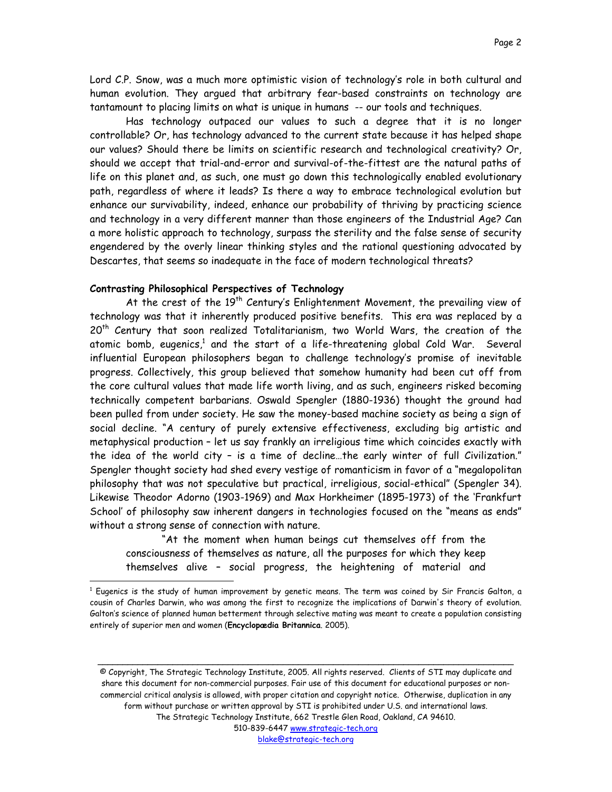Lord C.P. Snow, was a much more optimistic vision of technology's role in both cultural and human evolution. They argued that arbitrary fear-based constraints on technology are tantamount to placing limits on what is unique in humans -- our tools and techniques.

Has technology outpaced our values to such a degree that it is no longer controllable? Or, has technology advanced to the current state because it has helped shape our values? Should there be limits on scientific research and technological creativity? Or, should we accept that trial-and-error and survival-of-the-fittest are the natural paths of life on this planet and, as such, one must go down this technologically enabled evolutionary path, regardless of where it leads? Is there a way to embrace technological evolution but enhance our survivability, indeed, enhance our probability of thriving by practicing science and technology in a very different manner than those engineers of the Industrial Age? Can a more holistic approach to technology, surpass the sterility and the false sense of security engendered by the overly linear thinking styles and the rational questioning advocated by Descartes, that seems so inadequate in the face of modern technological threats?

# **Contrasting Philosophical Perspectives of Technology**

 $\overline{a}$ 

At the crest of the 19<sup>th</sup> Century's Enlightenment Movement, the prevailing view of technology was that it inherently produced positive benefits. This era was replaced by a 20<sup>th</sup> Century that soon realized Totalitarianism, two World Wars, the creation of the atomic bomb, eugenics, $^1$  and the start of a life-threatening global Cold War.  $\,$  Several  $\,$ influential European philosophers began to challenge technology's promise of inevitable progress. Collectively, this group believed that somehow humanity had been cut off from the core cultural values that made life worth living, and as such, engineers risked becoming technically competent barbarians. Oswald Spengler (1880-1936) thought the ground had been pulled from under society. He saw the money-based machine society as being a sign of social decline. "A century of purely extensive effectiveness, excluding big artistic and metaphysical production – let us say frankly an irreligious time which coincides exactly with the idea of the world city – is a time of decline…the early winter of full Civilization." Spengler thought society had shed every vestige of romanticism in favor of a "megalopolitan philosophy that was not speculative but practical, irreligious, social-ethical" (Spengler 34). Likewise Theodor Adorno (1903-1969) and Max Horkheimer (1895-1973) of the 'Frankfurt School' of philosophy saw inherent dangers in technologies focused on the "means as ends" without a strong sense of connection with nature.

"At the moment when human beings cut themselves off from the consciousness of themselves as nature, all the purposes for which they keep themselves alive – social progress, the heightening of material and

© Copyright, The Strategic Technology Institute, 2005. All rights reserved. Clients of STI may duplicate and share this document for non-commercial purposes. Fair use of this document for educational purposes or noncommercial critical analysis is allowed, with proper citation and copyright notice. Otherwise, duplication in any form without purchase or written approval by STI is prohibited under U.S. and international laws. The Strategic Technology Institute, 662 Trestle Glen Road, Oakland, CA 94610. 510-839-6447 www.strategic-tech.org

\_\_\_\_\_\_\_\_\_\_\_\_\_\_\_\_\_\_\_\_\_\_\_\_\_\_\_\_\_\_\_\_\_\_\_\_\_\_\_\_\_\_\_\_\_\_\_\_\_\_\_\_\_\_\_\_\_\_\_\_\_\_\_\_\_\_\_\_\_\_\_\_\_\_\_\_\_\_\_\_\_\_\_

<span id="page-1-0"></span> $^1$  Eugenics is the study of human improvement by genetic means. The term was coined by Sir Francis Galton, a cousin of Charles Darwin, who was among the first to recognize the implications of Darwin's theory of evolution. Galton's science of planned human betterment through selective mating was meant to create a population consisting entirely of superior men and women (**Encyclopædia Britannica**. 2005).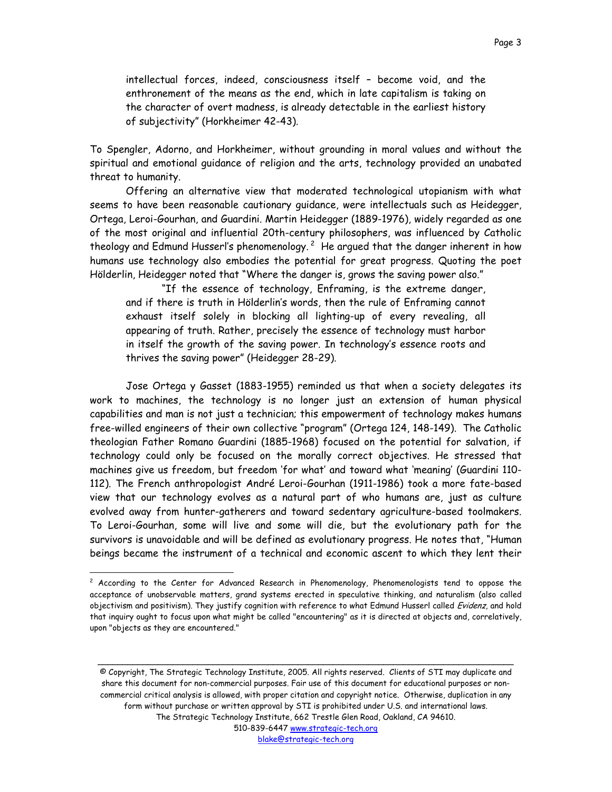intellectual forces, indeed, consciousness itself – become void, and the enthronement of the means as the end, which in late capitalism is taking on the character of overt madness, is already detectable in the earliest history of subjectivity" (Horkheimer 42-43).

To Spengler, Adorno, and Horkheimer, without grounding in moral values and without the spiritual and emotional guidance of religion and the arts, technology provided an unabated threat to humanity.

Offering an alternative view that moderated technological utopianism with what seems to have been reasonable cautionary guidance, were intellectuals such as Heidegger, Ortega, Leroi-Gourhan, and Guardini. Martin Heidegger (1889-1976), widely regarded as one of the most original and influential 20th-century philosophers, was influenced by Catholic theology and Edmund Husserl's phenomenology.<sup>2</sup> He argued that the danger inherent in how humans use technology also embodies the potential for great progress. Quoting the poet Hölderlin, Heidegger noted that "Where the danger is, grows the saving power also."

"If the essence of technology, Enframing, is the extreme danger, and if there is truth in Hölderlin's words, then the rule of Enframing cannot exhaust itself solely in blocking all lighting-up of every revealing, all appearing of truth. Rather, precisely the essence of technology must harbor in itself the growth of the saving power. In technology's essence roots and thrives the saving power" (Heidegger 28-29).

Jose Ortega y Gasset (1883-1955) reminded us that when a society delegates its work to machines, the technology is no longer just an extension of human physical capabilities and man is not just a technician; this empowerment of technology makes humans free-willed engineers of their own collective "program" (Ortega 124, 148-149). The Catholic theologian Father Romano Guardini (1885-1968) focused on the potential for salvation, if technology could only be focused on the morally correct objectives. He stressed that machines give us freedom, but freedom 'for what' and toward what 'meaning' (Guardini 110- 112). The French anthropologist André Leroi-Gourhan (1911-1986) took a more fate-based view that our technology evolves as a natural part of who humans are, just as culture evolved away from hunter-gatherers and toward sedentary agriculture-based toolmakers. To Leroi-Gourhan, some will live and some will die, but the evolutionary path for the survivors is unavoidable and will be defined as evolutionary progress. He notes that, "Human beings became the instrument of a technical and economic ascent to which they lent their

 $\overline{a}$ 

© Copyright, The Strategic Technology Institute, 2005. All rights reserved. Clients of STI may duplicate and share this document for non-commercial purposes. Fair use of this document for educational purposes or noncommercial critical analysis is allowed, with proper citation and copyright notice. Otherwise, duplication in any form without purchase or written approval by STI is prohibited under U.S. and international laws. The Strategic Technology Institute, 662 Trestle Glen Road, Oakland, CA 94610. 510-839-6447 www.strategic-tech.org blake@strategic-tech.org

<span id="page-2-0"></span><sup>&</sup>lt;sup>2</sup> According to the Center for Advanced Research in Phenomenology, Phenomenologists tend to oppose the acceptance of unobservable matters, grand systems erected in speculative thinking, and naturalism (also called objectivism and positivism). They justify cognition with reference to what Edmund Husserl called Evidenz, and hold that inquiry ought to focus upon what might be called "encountering" as it is directed at objects and, correlatively, upon "objects as they are encountered."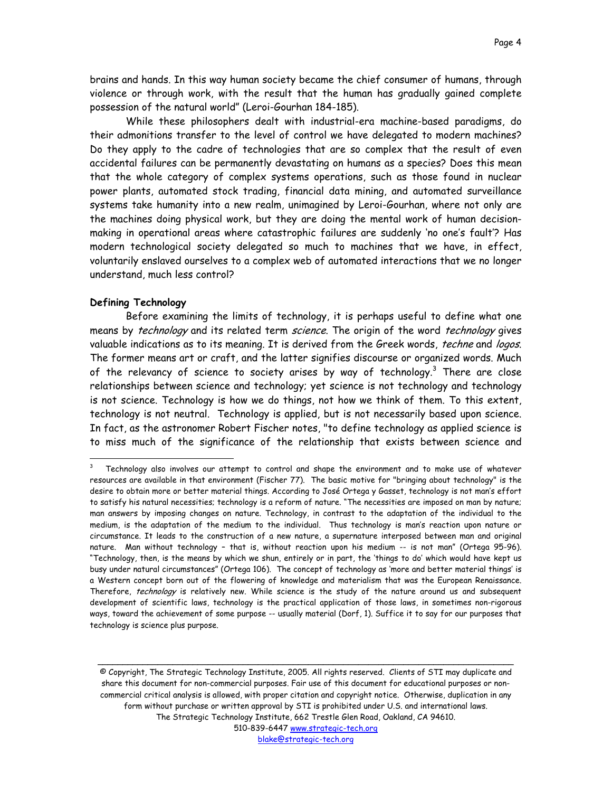brains and hands. In this way human society became the chief consumer of humans, through violence or through work, with the result that the human has gradually gained complete possession of the natural world" (Leroi-Gourhan 184-185).

While these philosophers dealt with industrial-era machine-based paradigms, do their admonitions transfer to the level of control we have delegated to modern machines? Do they apply to the cadre of technologies that are so complex that the result of even accidental failures can be permanently devastating on humans as a species? Does this mean that the whole category of complex systems operations, such as those found in nuclear power plants, automated stock trading, financial data mining, and automated surveillance systems take humanity into a new realm, unimagined by Leroi-Gourhan, where not only are the machines doing physical work, but they are doing the mental work of human decisionmaking in operational areas where catastrophic failures are suddenly 'no one's fault'? Has modern technological society delegated so much to machines that we have, in effect, voluntarily enslaved ourselves to a complex web of automated interactions that we no longer understand, much less control?

## **Defining Technology**

 $\overline{a}$ 

Before examining the limits of technology, it is perhaps useful to define what one means by technology and its related term science. The origin of the word technology gives valuable indications as to its meaning. It is derived from the Greek words, *techne* and logos. The former means art or craft, and the latter signifies discourse or organized words. Much of the relevancy of science to society arises by way of technology.<sup>[3](#page-3-0)</sup> There are close relationships between science and technology; yet science is not technology and technology is not science. Technology is how we do things, not how we think of them. To this extent, technology is not neutral. Technology is applied, but is not necessarily based upon science. In fact, as the astronomer Robert Fischer notes, "to define technology as applied science is to miss much of the significance of the relationship that exists between science and

© Copyright, The Strategic Technology Institute, 2005. All rights reserved. Clients of STI may duplicate and share this document for non-commercial purposes. Fair use of this document for educational purposes or noncommercial critical analysis is allowed, with proper citation and copyright notice. Otherwise, duplication in any form without purchase or written approval by STI is prohibited under U.S. and international laws. The Strategic Technology Institute, 662 Trestle Glen Road, Oakland, CA 94610. 510-839-6447 www.strategic-tech.org blake@strategic-tech.org

<span id="page-3-0"></span>Technology also involves our attempt to control and shape the environment and to make use of whatever resources are available in that environment (Fischer 77). The basic motive for "bringing about technology" is the desire to obtain more or better material things. According to José Ortega y Gasset, technology is not man's effort to satisfy his natural necessities; technology is a reform of nature. "The necessities are imposed on man by nature; man answers by imposing changes on nature. Technology, in contrast to the adaptation of the individual to the medium, is the adaptation of the medium to the individual. Thus technology is man's reaction upon nature or circumstance. It leads to the construction of a new nature, a supernature interposed between man and original nature. Man without technology – that is, without reaction upon his medium -- is not man" (Ortega 95-96). "Technology, then, is the means by which we shun, entirely or in part, the 'things to do' which would have kept us busy under natural circumstances" (Ortega 106). The concept of technology as 'more and better material things' is a Western concept born out of the flowering of knowledge and materialism that was the European Renaissance. Therefore, technology is relatively new. While science is the study of the nature around us and subsequent development of scientific laws, technology is the practical application of those laws, in sometimes non-rigorous ways, toward the achievement of some purpose -- usually material (Dorf, 1). Suffice it to say for our purposes that technology is science plus purpose.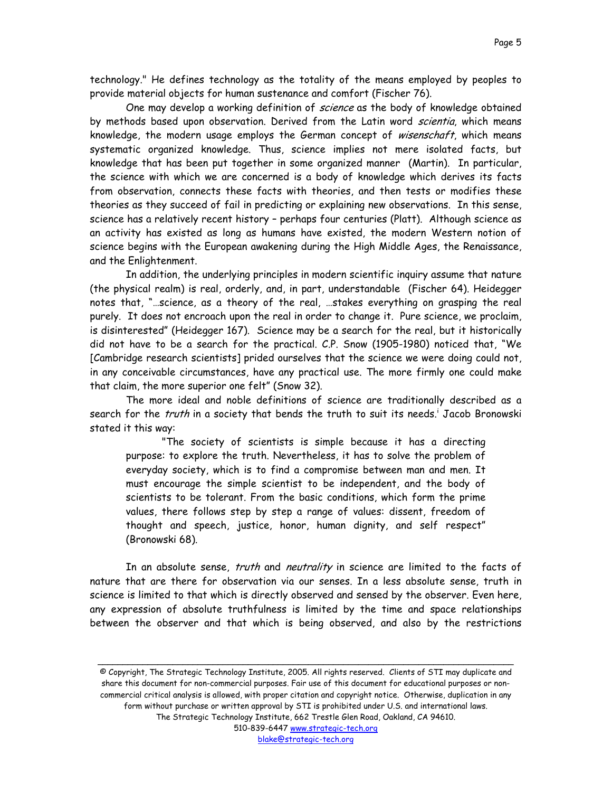technology." He defines technology as the totality of the means employed by peoples to provide material objects for human sustenance and comfort (Fischer 76).

One may develop a working definition of science as the body of knowledge obtained by methods based upon observation. Derived from the Latin word scientia, which means knowledge, the modern usage employs the German concept of *wisenschaft*, which means systematic organized knowledge. Thus, science implies not mere isolated facts, but knowledge that has been put together in some organized manner (Martin). In particular, the science with which we are concerned is a body of knowledge which derives its facts from observation, connects these facts with theories, and then tests or modifies these theories as they succeed of fail in predicting or explaining new observations. In this sense, science has a relatively recent history – perhaps four centuries (Platt). Although science as an activity has existed as long as humans have existed, the modern Western notion of science begins with the European awakening during the High Middle Ages, the Renaissance, and the Enlightenment.

In addition, the underlying principles in modern scientific inquiry assume that nature (the physical realm) is real, orderly, and, in part, understandable (Fischer 64). Heidegger notes that, "…science, as a theory of the real, …stakes everything on grasping the real purely. It does not encroach upon the real in order to change it. Pure science, we proclaim, is disinterested" (Heidegger 167). Science may be a search for the real, but it historically did not have to be a search for the practical. C.P. Snow (1905-1980) noticed that, "We [Cambridge research scientists] prided ourselves that the science we were doing could not, in any conceivable circumstances, have any practical use. The more firmly one could make that claim, the more superior one felt" (Snow 32).

The more ideal and noble definitions of science are traditionally described as a search for the *truth* [i](#page-38-0)n a society that bends the truth to suit its needs.<sup>i</sup> Jacob Bronowski stated it this way:

"The society of scientists is simple because it has a directing purpose: to explore the truth. Nevertheless, it has to solve the problem of everyday society, which is to find a compromise between man and men. It must encourage the simple scientist to be independent, and the body of scientists to be tolerant. From the basic conditions, which form the prime values, there follows step by step a range of values: dissent, freedom of thought and speech, justice, honor, human dignity, and self respect" (Bronowski 68).

In an absolute sense, *truth* and *neutrality* in science are limited to the facts of nature that are there for observation via our senses. In a less absolute sense, truth in science is limited to that which is directly observed and sensed by the observer. Even here, any expression of absolute truthfulness is limited by the time and space relationships between the observer and that which is being observed, and also by the restrictions

© Copyright, The Strategic Technology Institute, 2005. All rights reserved. Clients of STI may duplicate and share this document for non-commercial purposes. Fair use of this document for educational purposes or noncommercial critical analysis is allowed, with proper citation and copyright notice. Otherwise, duplication in any form without purchase or written approval by STI is prohibited under U.S. and international laws. The Strategic Technology Institute, 662 Trestle Glen Road, Oakland, CA 94610. 510-839-6447 www.strategic-tech.org blake@strategic-tech.org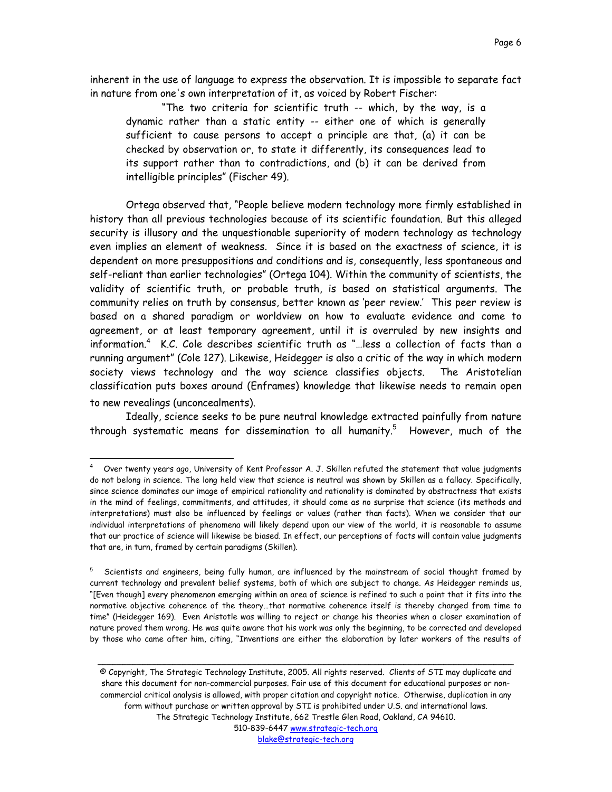<span id="page-5-1"></span>inherent in the use of language to express the observation. It is impossible to separate fact in nature from one's own interpretation of it, as voiced by Robert Fischer:

"The two criteria for scientific truth -- which, by the way, is a dynamic rather than a static entity -- either one of which is generally sufficient to cause persons to accept a principle are that, (a) it can be checked by observation or, to state it differently, its consequences lead to its support rather than to contradictions, and (b) it can be derived from intelligible principles" (Fischer 49).

Ortega observed that, "People believe modern technology more firmly established in history than all previous technologies because of its scientific foundation. But this alleged security is illusory and the unquestionable superiority of modern technology as technology even implies an element of weakness. Since it is based on the exactness of science, it is dependent on more presuppositions and conditions and is, consequently, less spontaneous and self-reliant than earlier technologies" (Ortega 104). Within the community of scientists, the validity of scientific truth, or probable truth, is based on statistical arguments. The community relies on truth by consensus, better known as 'peer review.' This peer review is based on a shared paradigm or worldview on how to evaluate evidence and come to agreement, or at least temporary agreement, until it is overruled by new insights and information.[4](#page-5-0) K.C. Cole describes scientific truth as "…less a collection of facts than a running argument" (Cole 127). Likewise, Heidegger is also a critic of the way in which modern society views technology and the way science classifies objects. The Aristotelian classification puts boxes around (Enframes) knowledge that likewise needs to remain open to new revealings (unconcealments).

Ideally, science seeks to be pure neutral knowledge extracted painfully from nature through systematic means for dissemination to all humanity. $^5$  However, much of the

 $\overline{a}$ 

© Copyright, The Strategic Technology Institute, 2005. All rights reserved. Clients of STI may duplicate and share this document for non-commercial purposes. Fair use of this document for educational purposes or noncommercial critical analysis is allowed, with proper citation and copyright notice. Otherwise, duplication in any form without purchase or written approval by STI is prohibited under U.S. and international laws. The Strategic Technology Institute, 662 Trestle Glen Road, Oakland, CA 94610. 510-839-6447 www.strategic-tech.org blake@strategic-tech.org

<span id="page-5-0"></span>Over twenty years ago, University of Kent Professor A. J. Skillen refuted the statement that value judgments do not belong in science. The long held view that science is neutral was shown by Skillen as a fallacy. Specifically, since science dominates our image of empirical rationality and rationality is dominated by abstractness that exists in the mind of feelings, commitments, and attitudes, it should come as no surprise that science (its methods and interpretations) must also be influenced by feelings or values (rather than facts). When we consider that our individual interpretations of phenomena will likely depend upon our view of the world, it is reasonable to assume that our practice of science will likewise be biased. In effect, our perceptions of facts will contain value judgments that are, in turn, framed by certain paradigms (Skillen).

<sup>&</sup>lt;sup>5</sup> Scientists and engineers, being fully human, are influenced by the mainstream of social thought framed by current technology and prevalent belief systems, both of which are subject to change. As Heidegger reminds us, "[Even though] every phenomenon emerging within an area of science is refined to such a point that it fits into the normative objective coherence of the theory…that normative coherence itself is thereby changed from time to time" (Heidegger 169). Even Aristotle was willing to reject or change his theories when a closer examination of nature proved them wrong. He was quite aware that his work was only the beginning, to be corrected and developed by those who came after him, citing, "Inventions are either the elaboration by later workers of the results of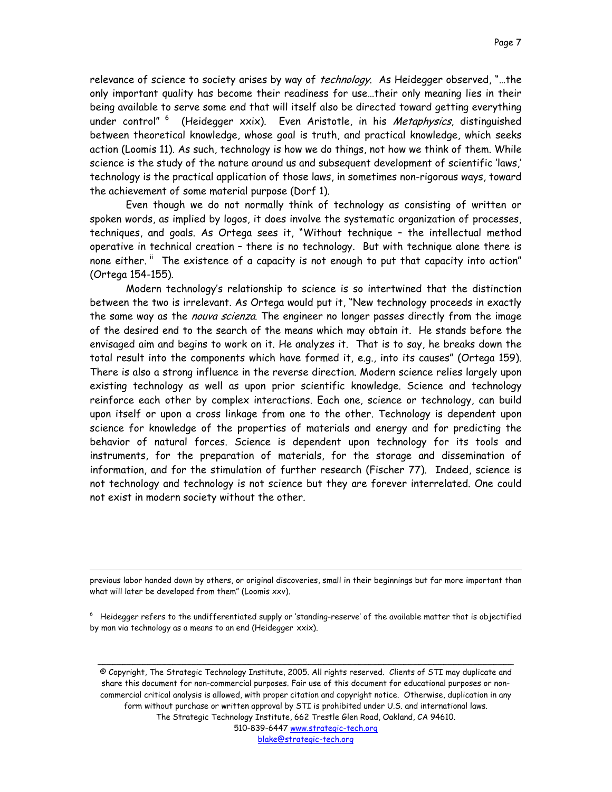relevance of science to society arises by way of technology. As Heidegger observed, "...the only important quality has become their readiness for use…their only meaning lies in their being available to serve some end that will itself also be directed toward getting everything under control"<sup>6</sup> (Heidegger xxix). Even Aristotle, in his Metaphysics, distinguished between theoretical knowledge, whose goal is truth, and practical knowledge, which seeks action (Loomis 11). As such, technology is how we do things, not how we think of them. While science is the study of the nature around us and subsequent development of scientific 'laws,' technology is the practical application of those laws, in sometimes non-rigorous ways, toward the achievement of some material purpose (Dorf 1).

Even though we do not normally think of technology as consisting of written or spoken words, as implied by logos, it does involve the systematic organization of processes, techniques, and goals. As Ortega sees it, "Without technique – the intellectual method operative in technical creation – there is no technology. But with technique alone there is none either. " The existence of a capacity is not enough to put that capacity into action" (Ortega 154-155).

Modern technology's relationship to science is so intertwined that the distinction between the two is irrelevant. As Ortega would put it, "New technology proceeds in exactly the same way as the *nouva scienza*. The engineer no longer passes directly from the image of the desired end to the search of the means which may obtain it. He stands before the envisaged aim and begins to work on it. He analyzes it. That is to say, he breaks down the total result into the components which have formed it, e.g., into its causes" (Ortega 159). There is also a strong influence in the reverse direction. Modern science relies largely upon existing technology as well as upon prior scientific knowledge. Science and technology reinforce each other by complex interactions. Each one, science or technology, can build upon itself or upon a cross linkage from one to the other. Technology is dependent upon science for knowledge of the properties of materials and energy and for predicting the behavior of natural forces. Science is dependent upon technology for its tools and instruments, for the preparation of materials, for the storage and dissemination of information, and for the stimulation of further research (Fischer 77). Indeed, science is not technology and technology is not science but they are forever interrelated. One could not exist in modern society without the other.

previous labor handed down by others, or original discoveries, small in their beginnings but far more important than what will later be developed from them" (Loomis xxv).

l

<span id="page-6-0"></span> $6$  Heidegger refers to the undifferentiated supply or 'standing-reserve' of the available matter that is objectified by man via technology as a means to an end (Heidegger xxix).

\_\_\_\_\_\_\_\_\_\_\_\_\_\_\_\_\_\_\_\_\_\_\_\_\_\_\_\_\_\_\_\_\_\_\_\_\_\_\_\_\_\_\_\_\_\_\_\_\_\_\_\_\_\_\_\_\_\_\_\_\_\_\_\_\_\_\_\_\_\_\_\_\_\_\_\_\_\_\_\_\_\_\_

© Copyright, The Strategic Technology Institute, 2005. All rights reserved. Clients of STI may duplicate and share this document for non-commercial purposes. Fair use of this document for educational purposes or noncommercial critical analysis is allowed, with proper citation and copyright notice. Otherwise, duplication in any form without purchase or written approval by STI is prohibited under U.S. and international laws. The Strategic Technology Institute, 662 Trestle Glen Road, Oakland, CA 94610. 510-839-6447 www.strategic-tech.org blake@strategic-tech.org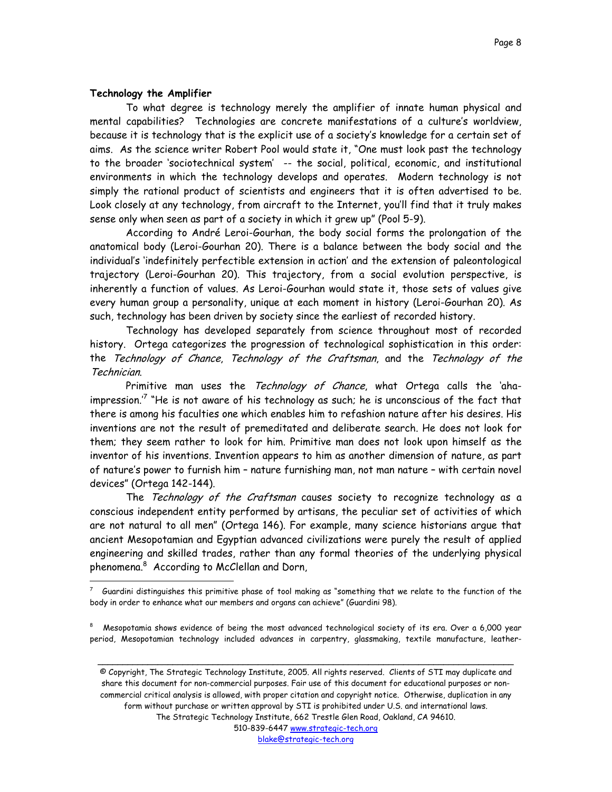# <span id="page-7-1"></span>**Technology the Amplifier**

 $\overline{a}$ 

To what degree is technology merely the amplifier of innate human physical and mental capabilities? Technologies are concrete manifestations of a culture's worldview, because it is technology that is the explicit use of a society's knowledge for a certain set of aims. As the science writer Robert Pool would state it, "One must look past the technology to the broader 'sociotechnical system' -- the social, political, economic, and institutional environments in which the technology develops and operates. Modern technology is not simply the rational product of scientists and engineers that it is often advertised to be. Look closely at any technology, from aircraft to the Internet, you'll find that it truly makes sense only when seen as part of a society in which it grew up" (Pool 5-9).

According to André Leroi-Gourhan, the body social forms the prolongation of the anatomical body (Leroi-Gourhan 20). There is a balance between the body social and the individual's 'indefinitely perfectible extension in action' and the extension of paleontological trajectory (Leroi-Gourhan 20). This trajectory, from a social evolution perspective, is inherently a function of values. As Leroi-Gourhan would state it, those sets of values give every human group a personality, unique at each moment in history (Leroi-Gourhan 20). As such, technology has been driven by society since the earliest of recorded history.

Technology has developed separately from science throughout most of recorded history. Ortega categorizes the progression of technological sophistication in this order: the Technology of Chance, Technology of the Craftsman, and the Technology of the Technician.

Primitive man uses the Technology of Chance, what Ortega calls the 'ahaimpression." "He is not aware of his technology as such; he is unconscious of the fact that there is among his faculties one which enables him to refashion nature after his desires. His inventions are not the result of premeditated and deliberate search. He does not look for them; they seem rather to look for him. Primitive man does not look upon himself as the inventor of his inventions. Invention appears to him as another dimension of nature, as part of nature's power to furnish him – nature furnishing man, not man nature – with certain novel devices" (Ortega 142-144).

The Technology of the Craftsman causes society to recognize technology as a conscious independent entity performed by artisans, the peculiar set of activities of which are not natural to all men" (Ortega 146). For example, many science historians argue that ancient Mesopotamian and Egyptian advanced civilizations were purely the result of applied engineering and skilled trades, rather than any formal theories of the underlying physical phenomena.[8](#page-7-1) According to McClellan and Dorn,

\_\_\_\_\_\_\_\_\_\_\_\_\_\_\_\_\_\_\_\_\_\_\_\_\_\_\_\_\_\_\_\_\_\_\_\_\_\_\_\_\_\_\_\_\_\_\_\_\_\_\_\_\_\_\_\_\_\_\_\_\_\_\_\_\_\_\_\_\_\_\_\_\_\_\_\_\_\_\_\_\_\_\_

© Copyright, The Strategic Technology Institute, 2005. All rights reserved. Clients of STI may duplicate and share this document for non-commercial purposes. Fair use of this document for educational purposes or noncommercial critical analysis is allowed, with proper citation and copyright notice. Otherwise, duplication in any form without purchase or written approval by STI is prohibited under U.S. and international laws. The Strategic Technology Institute, 662 Trestle Glen Road, Oakland, CA 94610. 510-839-6447 www.strategic-tech.org

<span id="page-7-0"></span><sup>7</sup> Guardini distinguishes this primitive phase of tool making as "something that we relate to the function of the body in order to enhance what our members and organs can achieve" (Guardini 98).

 $8$  Mesopotamia shows evidence of being the most advanced technological society of its era. Over a 6,000 year period, Mesopotamian technology included advances in carpentry, glassmaking, textile manufacture, leather-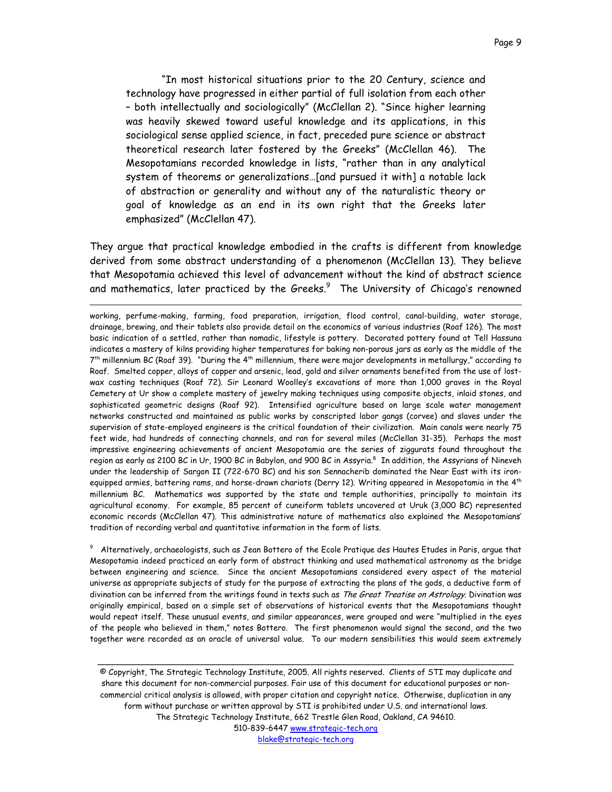<span id="page-8-0"></span>"In most historical situations prior to the 20 Century, science and technology have progressed in either partial of full isolation from each other – both intellectually and sociologically" (McClellan 2). "Since higher learning was heavily skewed toward useful knowledge and its applications, in this sociological sense applied science, in fact, preceded pure science or abstract theoretical research later fostered by the Greeks" (McClellan 46). The Mesopotamians recorded knowledge in lists, "rather than in any analytical system of theorems or generalizations…[and pursued it with] a notable lack of abstraction or generality and without any of the naturalistic theory or goal of knowledge as an end in its own right that the Greeks later emphasized" (McClellan 47).

They argue that practical knowledge embodied in the crafts is different from knowledge derived from some abstract understanding of a phenomenon (McClellan 13). They believe that Mesopotamia achieved this level of advancement without the kind of abstract science and mathematics, later practiced by the Greeks. $^9\;$  The University of Chicago's renowned

 $\overline{a}$ 

working, perfume-making, farming, food preparation, irrigation, flood control, canal-building, water storage, drainage, brewing, and their tablets also provide detail on the economics of various industries (Roaf 126). The most basic indication of a settled, rather than nomadic, lifestyle is pottery. Decorated pottery found at Tell Hassuna indicates a mastery of kilns providing higher temperatures for baking non-porous jars as early as the middle of the  $7^{th}$  millennium BC (Roaf 39). "During the 4<sup>th</sup> millennium, there were major developments in metallurgy," according to Roaf. Smelted copper, alloys of copper and arsenic, lead, gold and silver ornaments benefited from the use of lostwax casting techniques (Roaf 72). Sir Leonard Woolley's excavations of more than 1,000 graves in the Royal Cemetery at Ur show a complete mastery of jewelry making techniques using composite objects, inlaid stones, and sophisticated geometric designs (Roaf 92). Intensified agriculture based on large scale water management networks constructed and maintained as public works by conscripted labor gangs (corvee) and slaves under the supervision of state-employed engineers is the critical foundation of their civilization. Main canals were nearly 75 feet wide, had hundreds of connecting channels, and ran for several miles (McClellan 31-35). Perhaps the most impressive engineering achievements of ancient Mesopotamia are the series of ziggurats found throughout the region as early as 2100 BC in Ur, 1900 BC in Babylon, and 900 BC in Assyria.<sup>8</sup> In addition, the Assyrians of Nineveh under the leadership of Sargon II (722-670 BC) and his son Sennacherib dominated the Near East with its ironequipped armies, battering rams, and horse-drawn chariots (Derry 12). Writing appeared in Mesopotamia in the  $4^{th}$ millennium BC. Mathematics was supported by the state and temple authorities, principally to maintain its agricultural economy. For example, 85 percent of cuneiform tablets uncovered at Uruk (3,000 BC) represented economic records (McClellan 47). This administrative nature of mathematics also explained the Mesopotamians' tradition of recording verbal and quantitative information in the form of lists.

<sup>9</sup> Alternatively, archaeologists, such as Jean Bottero of the Ecole Pratique des Hautes Etudes in Paris, argue that Mesopotamia indeed practiced an early form of abstract thinking and used mathematical astronomy as the bridge between engineering and science. Since the ancient Mesopotamians considered every aspect of the material universe as appropriate subjects of study for the purpose of extracting the plans of the gods, a deductive form of divination can be inferred from the writings found in texts such as The Great Treatise on Astrology. Divination was originally empirical, based on a simple set of observations of historical events that the Mesopotamians thought would repeat itself. These unusual events, and similar appearances, were grouped and were "multiplied in the eyes of the people who believed in them," notes Bottero. The first phenomenon would signal the second, and the two together were recorded as an oracle of universal value. To our modern sensibilities this would seem extremely

© Copyright, The Strategic Technology Institute, 2005. All rights reserved. Clients of STI may duplicate and share this document for non-commercial purposes. Fair use of this document for educational purposes or noncommercial critical analysis is allowed, with proper citation and copyright notice. Otherwise, duplication in any form without purchase or written approval by STI is prohibited under U.S. and international laws. The Strategic Technology Institute, 662 Trestle Glen Road, Oakland, CA 94610. 510-839-6447 www.strategic-tech.org blake@strategic-tech.org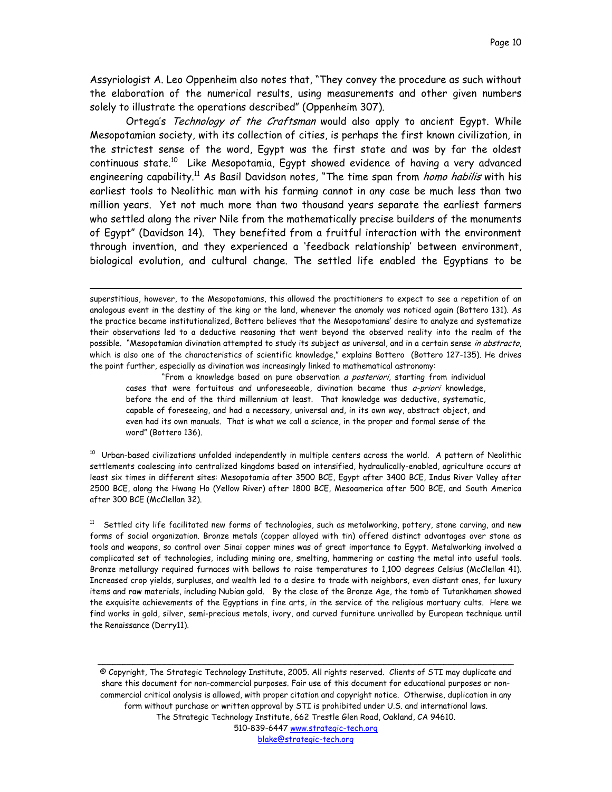Assyriologist A. Leo Oppenheim also notes that, "They convey the procedure as such without the elaboration of the numerical results, using measurements and other given numbers solely to illustrate the operations described" (Oppenheim 307).

Ortega's Technology of the Craftsman would also apply to ancient Egypt. While Mesopotamian society, with its collection of cities, is perhaps the first known civilization, in the strictest sense of the word, Egypt was the first state and was by far the oldest continuous state.<sup>10</sup> Like Mesopotamia, Egypt showed evidence of having a very advanced engineering capability.<sup>11</sup> As Basil Davidson notes, "The time span from *homo habilis* with his earliest tools to Neolithic man with his farming cannot in any case be much less than two million years. Yet not much more than two thousand years separate the earliest farmers who settled along the river Nile from the mathematically precise builders of the monuments of Egypt" (Davidson 14). They benefited from a fruitful interaction with the environment through invention, and they experienced a 'feedback relationship' between environment, biological evolution, and cultural change. The settled life enabled the Egyptians to be

 $\overline{a}$ 

"From a knowledge based on pure observation a posteriori, starting from individual cases that were fortuitous and unforeseeable, divination became thus a-priori knowledge, before the end of the third millennium at least. That knowledge was deductive, systematic, capable of foreseeing, and had a necessary, universal and, in its own way, abstract object, and even had its own manuals. That is what we call a science, in the proper and formal sense of the word" (Bottero 136).

<span id="page-9-0"></span> $10$  Urban-based civilizations unfolded independently in multiple centers across the world. A pattern of Neolithic settlements coalescing into centralized kingdoms based on intensified, hydraulically-enabled, agriculture occurs at least six times in different sites: Mesopotamia after 3500 BCE, Egypt after 3400 BCE, Indus River Valley after 2500 BCE, along the Hwang Ho (Yellow River) after 1800 BCE, Mesoamerica after 500 BCE, and South America after 300 BCE (McClellan 32).

<span id="page-9-1"></span> $11$  Settled city life facilitated new forms of technologies, such as metalworking, pottery, stone carving, and new forms of social organization. Bronze metals (copper alloyed with tin) offered distinct advantages over stone as tools and weapons, so control over Sinai copper mines was of great importance to Egypt. Metalworking involved a complicated set of technologies, including mining ore, smelting, hammering or casting the metal into useful tools. Bronze metallurgy required furnaces with bellows to raise temperatures to 1,100 degrees Celsius (McClellan 41). Increased crop yields, surpluses, and wealth led to a desire to trade with neighbors, even distant ones, for luxury items and raw materials, including Nubian gold. By the close of the Bronze Age, the tomb of Tutankhamen showed the exquisite achievements of the Egyptians in fine arts, in the service of the religious mortuary cults. Here we find works in gold, silver, semi-precious metals, ivory, and curved furniture unrivalled by European technique until the Renaissance (Derry11).

© Copyright, The Strategic Technology Institute, 2005. All rights reserved. Clients of STI may duplicate and share this document for non-commercial purposes. Fair use of this document for educational purposes or noncommercial critical analysis is allowed, with proper citation and copyright notice. Otherwise, duplication in any form without purchase or written approval by STI is prohibited under U.S. and international laws. The Strategic Technology Institute, 662 Trestle Glen Road, Oakland, CA 94610. 510-839-6447 www.strategic-tech.org blake@strategic-tech.org

superstitious, however, to the Mesopotamians, this allowed the practitioners to expect to see a repetition of an analogous event in the destiny of the king or the land, whenever the anomaly was noticed again (Bottero 131). As the practice became institutionalized, Bottero believes that the Mesopotamians' desire to analyze and systematize their observations led to a deductive reasoning that went beyond the observed reality into the realm of the possible. "Mesopotamian divination attempted to study its subject as universal, and in a certain sense in abstracto, which is also one of the characteristics of scientific knowledge," explains Bottero (Bottero 127-135). He drives the point further, especially as divination was increasingly linked to mathematical astronomy: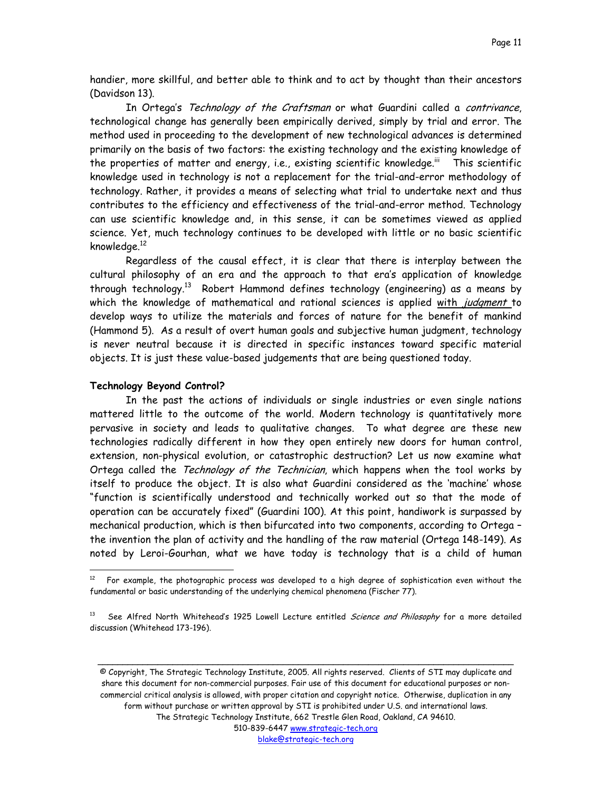handier, more skillful, and better able to think and to act by thought than their ancestors (Davidson 13).

In Ortega's Technology of the Craftsman or what Guardini called a contrivance, technological change has generally been empirically derived, simply by trial and error. The method used in proceeding to the development of new technological advances is determined primarily on the basis of two factors: the existing technology and the existing knowledge of the properties of matter and energy, i.e., existing scientific knowledge.<sup>iii</sup> This scientific knowledge used in technology is not a replacement for the trial-and-error methodology of technology. Rather, it provides a means of selecting what trial to undertake next and thus contributes to the efficiency and effectiveness of the trial-and-error method. Technology can use scientific knowledge and, in this sense, it can be sometimes viewed as applied science. Yet, much technology continues to be developed with little or no basic scientific knowledge[.12](#page-10-0)

Regardless of the causal effect, it is clear that there is interplay between the cultural philosophy of an era and the approach to that era's application of knowledge through technology[.13](#page-10-1) Robert Hammond defines technology (engineering) as a means by which the knowledge of mathematical and rational sciences is applied with judgment to develop ways to utilize the materials and forces of nature for the benefit of mankind (Hammond 5). As a result of overt human goals and subjective human judgment, technology is never neutral because it is directed in specific instances toward specific material objects. It is just these value-based judgements that are being questioned today.

## **Technology Beyond Control?**

l

In the past the actions of individuals or single industries or even single nations mattered little to the outcome of the world. Modern technology is quantitatively more pervasive in society and leads to qualitative changes. To what degree are these new technologies radically different in how they open entirely new doors for human control, extension, non-physical evolution, or catastrophic destruction? Let us now examine what Ortega called the Technology of the Technician, which happens when the tool works by itself to produce the object. It is also what Guardini considered as the 'machine' whose "function is scientifically understood and technically worked out so that the mode of operation can be accurately fixed" (Guardini 100). At this point, handiwork is surpassed by mechanical production, which is then bifurcated into two components, according to Ortega – the invention the plan of activity and the handling of the raw material (Ortega 148-149). As noted by Leroi-Gourhan, what we have today is technology that is a child of human

© Copyright, The Strategic Technology Institute, 2005. All rights reserved. Clients of STI may duplicate and share this document for non-commercial purposes. Fair use of this document for educational purposes or noncommercial critical analysis is allowed, with proper citation and copyright notice. Otherwise, duplication in any form without purchase or written approval by STI is prohibited under U.S. and international laws. The Strategic Technology Institute, 662 Trestle Glen Road, Oakland, CA 94610. 510-839-6447 www.strategic-tech.org

\_\_\_\_\_\_\_\_\_\_\_\_\_\_\_\_\_\_\_\_\_\_\_\_\_\_\_\_\_\_\_\_\_\_\_\_\_\_\_\_\_\_\_\_\_\_\_\_\_\_\_\_\_\_\_\_\_\_\_\_\_\_\_\_\_\_\_\_\_\_\_\_\_\_\_\_\_\_\_\_\_\_\_

<span id="page-10-0"></span>For example, the photographic process was developed to a high degree of sophistication even without the fundamental or basic understanding of the underlying chemical phenomena (Fischer 77).

<span id="page-10-1"></span><sup>&</sup>lt;sup>13</sup> See Alfred North Whitehead's 1925 Lowell Lecture entitled Science and Philosophy for a more detailed discussion (Whitehead 173-196).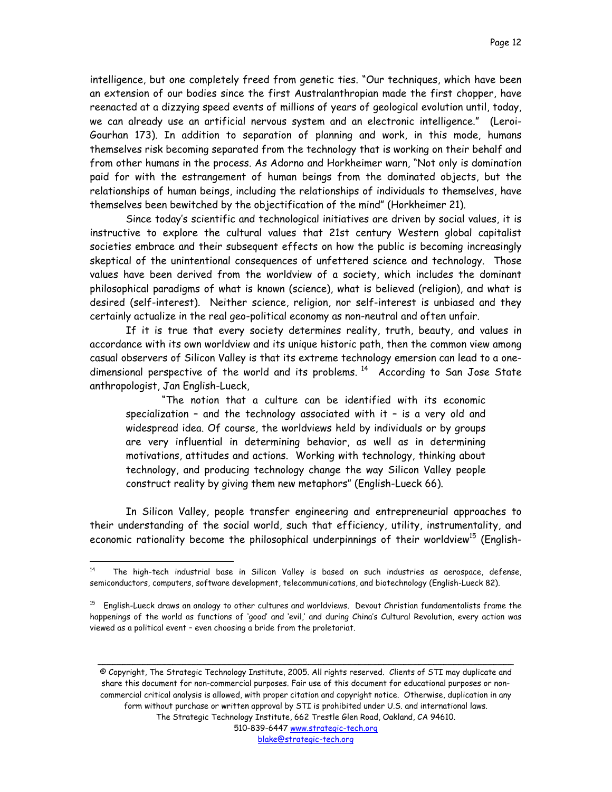intelligence, but one completely freed from genetic ties. "Our techniques, which have been an extension of our bodies since the first Australanthropian made the first chopper, have reenacted at a dizzying speed events of millions of years of geological evolution until, today, we can already use an artificial nervous system and an electronic intelligence." (Leroi-Gourhan 173). In addition to separation of planning and work, in this mode, humans themselves risk becoming separated from the technology that is working on their behalf and from other humans in the process. As Adorno and Horkheimer warn, "Not only is domination paid for with the estrangement of human beings from the dominated objects, but the relationships of human beings, including the relationships of individuals to themselves, have themselves been bewitched by the objectification of the mind" (Horkheimer 21).

Since today's scientific and technological initiatives are driven by social values, it is instructive to explore the cultural values that 21st century Western global capitalist societies embrace and their subsequent effects on how the public is becoming increasingly skeptical of the unintentional consequences of unfettered science and technology. Those values have been derived from the worldview of a society, which includes the dominant philosophical paradigms of what is known (science), what is believed (religion), and what is desired (self-interest). Neither science, religion, nor self-interest is unbiased and they certainly actualize in the real geo-political economy as non-neutral and often unfair.

If it is true that every society determines reality, truth, beauty, and values in accordance with its own worldview and its unique historic path, then the common view among casual observers of Silicon Valley is that its extreme technology emersion can lead to a onedimensional perspective of the world and its problems.  $14$  According to San Jose State anthropologist, Jan English-Lueck,

"The notion that a culture can be identified with its economic specialization – and the technology associated with it – is a very old and widespread idea. Of course, the worldviews held by individuals or by groups are very influential in determining behavior, as well as in determining motivations, attitudes and actions. Working with technology, thinking about technology, and producing technology change the way Silicon Valley people construct reality by giving them new metaphors" (English-Lueck 66).

In Silicon Valley, people transfer engineering and entrepreneurial approaches to their understanding of the social world, such that efficiency, utility, instrumentality, and economic rationality become the philosophical underpinnings of their worldview<sup>15</sup> (English-

 $\overline{a}$ 

© Copyright, The Strategic Technology Institute, 2005. All rights reserved. Clients of STI may duplicate and share this document for non-commercial purposes. Fair use of this document for educational purposes or noncommercial critical analysis is allowed, with proper citation and copyright notice. Otherwise, duplication in any form without purchase or written approval by STI is prohibited under U.S. and international laws. The Strategic Technology Institute, 662 Trestle Glen Road, Oakland, CA 94610. 510-839-6447 www.strategic-tech.org

\_\_\_\_\_\_\_\_\_\_\_\_\_\_\_\_\_\_\_\_\_\_\_\_\_\_\_\_\_\_\_\_\_\_\_\_\_\_\_\_\_\_\_\_\_\_\_\_\_\_\_\_\_\_\_\_\_\_\_\_\_\_\_\_\_\_\_\_\_\_\_\_\_\_\_\_\_\_\_\_\_\_\_

<span id="page-11-0"></span> $14$  The high-tech industrial base in Silicon Valley is based on such industries as aerospace, defense, semiconductors, computers, software development, telecommunications, and biotechnology (English-Lueck 82).

<span id="page-11-1"></span> $15$  English-Lueck draws an analogy to other cultures and worldviews. Devout Christian fundamentalists frame the happenings of the world as functions of 'good' and 'evil,' and during China's Cultural Revolution, every action was viewed as a political event – even choosing a bride from the proletariat.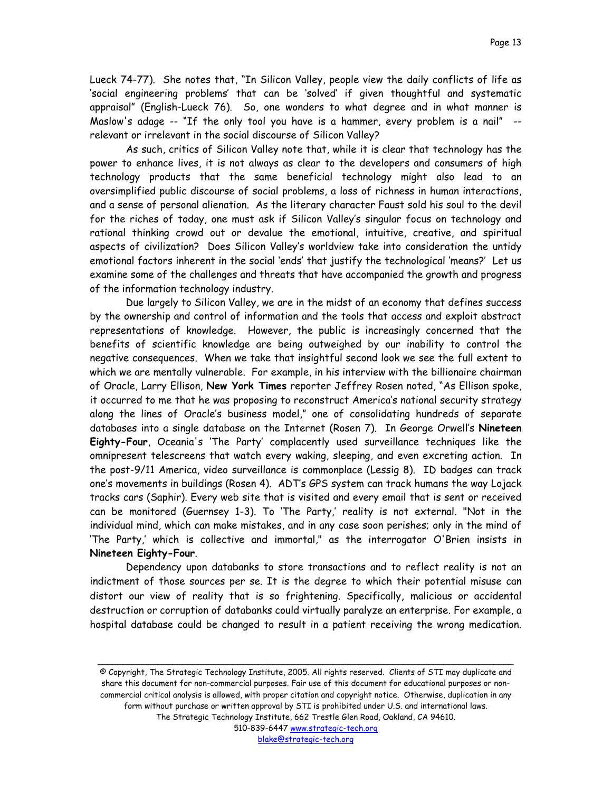Lueck 74-77). She notes that, "In Silicon Valley, people view the daily conflicts of life as 'social engineering problems' that can be 'solved' if given thoughtful and systematic appraisal" (English-Lueck 76). So, one wonders to what degree and in what manner is Maslow's adage -- "If the only tool you have is a hammer, every problem is a nail" - relevant or irrelevant in the social discourse of Silicon Valley?

As such, critics of Silicon Valley note that, while it is clear that technology has the power to enhance lives, it is not always as clear to the developers and consumers of high technology products that the same beneficial technology might also lead to an oversimplified public discourse of social problems, a loss of richness in human interactions, and a sense of personal alienation. As the literary character Faust sold his soul to the devil for the riches of today, one must ask if Silicon Valley's singular focus on technology and rational thinking crowd out or devalue the emotional, intuitive, creative, and spiritual aspects of civilization? Does Silicon Valley's worldview take into consideration the untidy emotional factors inherent in the social 'ends' that justify the technological 'means?' Let us examine some of the challenges and threats that have accompanied the growth and progress of the information technology industry.

Due largely to Silicon Valley, we are in the midst of an economy that defines success by the ownership and control of information and the tools that access and exploit abstract representations of knowledge. However, the public is increasingly concerned that the benefits of scientific knowledge are being outweighed by our inability to control the negative consequences. When we take that insightful second look we see the full extent to which we are mentally vulnerable. For example, in his interview with the billionaire chairman of Oracle, Larry Ellison, **New York Times** reporter Jeffrey Rosen noted, "As Ellison spoke, it occurred to me that he was proposing to reconstruct America's national security strategy along the lines of Oracle's business model," one of consolidating hundreds of separate databases into a single database on the Internet (Rosen 7). In George Orwell's **Nineteen Eighty-Four**, Oceania's 'The Party' complacently used surveillance techniques like the omnipresent telescreens that watch every waking, sleeping, and even excreting action. In the post-9/11 America, video surveillance is commonplace (Lessig 8). ID badges can track one's movements in buildings (Rosen 4). ADT's GPS system can track humans the way Lojack tracks cars (Saphir). Every web site that is visited and every email that is sent or received can be monitored (Guernsey 1-3). To 'The Party,' reality is not external. "Not in the individual mind, which can make mistakes, and in any case soon perishes; only in the mind of 'The Party,' which is collective and immortal," as the interrogator O'Brien insists in **Nineteen Eighty-Four**.

Dependency upon databanks to store transactions and to reflect reality is not an indictment of those sources per se. It is the degree to which their potential misuse can distort our view of reality that is so frightening. Specifically, malicious or accidental destruction or corruption of databanks could virtually paralyze an enterprise. For example, a hospital database could be changed to result in a patient receiving the wrong medication.

© Copyright, The Strategic Technology Institute, 2005. All rights reserved. Clients of STI may duplicate and share this document for non-commercial purposes. Fair use of this document for educational purposes or noncommercial critical analysis is allowed, with proper citation and copyright notice. Otherwise, duplication in any form without purchase or written approval by STI is prohibited under U.S. and international laws. The Strategic Technology Institute, 662 Trestle Glen Road, Oakland, CA 94610. 510-839-6447 www.strategic-tech.org

\_\_\_\_\_\_\_\_\_\_\_\_\_\_\_\_\_\_\_\_\_\_\_\_\_\_\_\_\_\_\_\_\_\_\_\_\_\_\_\_\_\_\_\_\_\_\_\_\_\_\_\_\_\_\_\_\_\_\_\_\_\_\_\_\_\_\_\_\_\_\_\_\_\_\_\_\_\_\_\_\_\_\_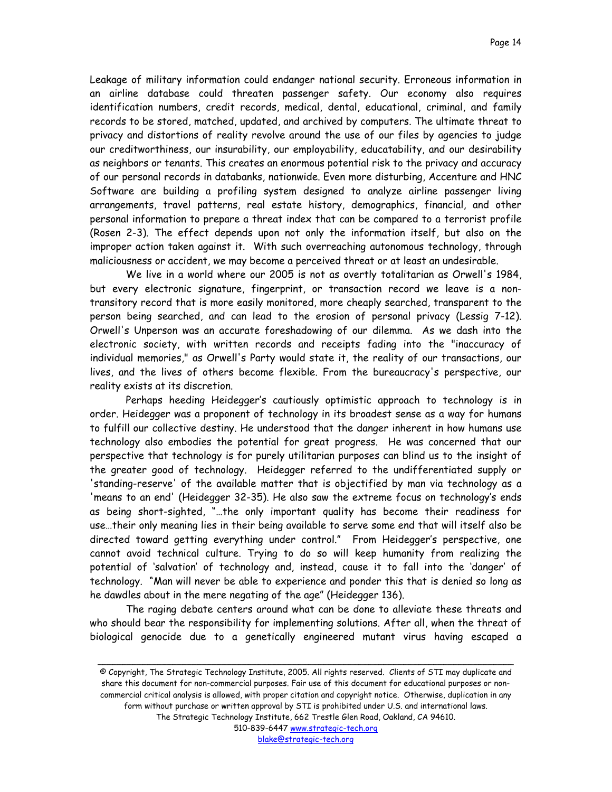Leakage of military information could endanger national security. Erroneous information in an airline database could threaten passenger safety. Our economy also requires identification numbers, credit records, medical, dental, educational, criminal, and family records to be stored, matched, updated, and archived by computers. The ultimate threat to privacy and distortions of reality revolve around the use of our files by agencies to judge our creditworthiness, our insurability, our employability, educatability, and our desirability as neighbors or tenants. This creates an enormous potential risk to the privacy and accuracy of our personal records in databanks, nationwide. Even more disturbing, Accenture and HNC Software are building a profiling system designed to analyze airline passenger living arrangements, travel patterns, real estate history, demographics, financial, and other personal information to prepare a threat index that can be compared to a terrorist profile (Rosen 2-3). The effect depends upon not only the information itself, but also on the improper action taken against it. With such overreaching autonomous technology, through maliciousness or accident, we may become a perceived threat or at least an undesirable.

We live in a world where our 2005 is not as overtly totalitarian as Orwell's 1984, but every electronic signature, fingerprint, or transaction record we leave is a nontransitory record that is more easily monitored, more cheaply searched, transparent to the person being searched, and can lead to the erosion of personal privacy (Lessig 7-12). Orwell's Unperson was an accurate foreshadowing of our dilemma. As we dash into the electronic society, with written records and receipts fading into the "inaccuracy of individual memories," as Orwell's Party would state it, the reality of our transactions, our lives, and the lives of others become flexible. From the bureaucracy's perspective, our reality exists at its discretion.

Perhaps heeding Heidegger's cautiously optimistic approach to technology is in order. Heidegger was a proponent of technology in its broadest sense as a way for humans to fulfill our collective destiny. He understood that the danger inherent in how humans use technology also embodies the potential for great progress. He was concerned that our perspective that technology is for purely utilitarian purposes can blind us to the insight of the greater good of technology. Heidegger referred to the undifferentiated supply or 'standing-reserve' of the available matter that is objectified by man via technology as a 'means to an end' (Heidegger 32-35). He also saw the extreme focus on technology's ends as being short-sighted, "…the only important quality has become their readiness for use…their only meaning lies in their being available to serve some end that will itself also be directed toward getting everything under control." From Heidegger's perspective, one cannot avoid technical culture. Trying to do so will keep humanity from realizing the potential of 'salvation' of technology and, instead, cause it to fall into the 'danger' of technology. "Man will never be able to experience and ponder this that is denied so long as he dawdles about in the mere negating of the age" (Heidegger 136).

The raging debate centers around what can be done to alleviate these threats and who should bear the responsibility for implementing solutions. After all, when the threat of biological genocide due to a genetically engineered mutant virus having escaped a

© Copyright, The Strategic Technology Institute, 2005. All rights reserved. Clients of STI may duplicate and share this document for non-commercial purposes. Fair use of this document for educational purposes or noncommercial critical analysis is allowed, with proper citation and copyright notice. Otherwise, duplication in any form without purchase or written approval by STI is prohibited under U.S. and international laws. The Strategic Technology Institute, 662 Trestle Glen Road, Oakland, CA 94610. 510-839-6447 www.strategic-tech.org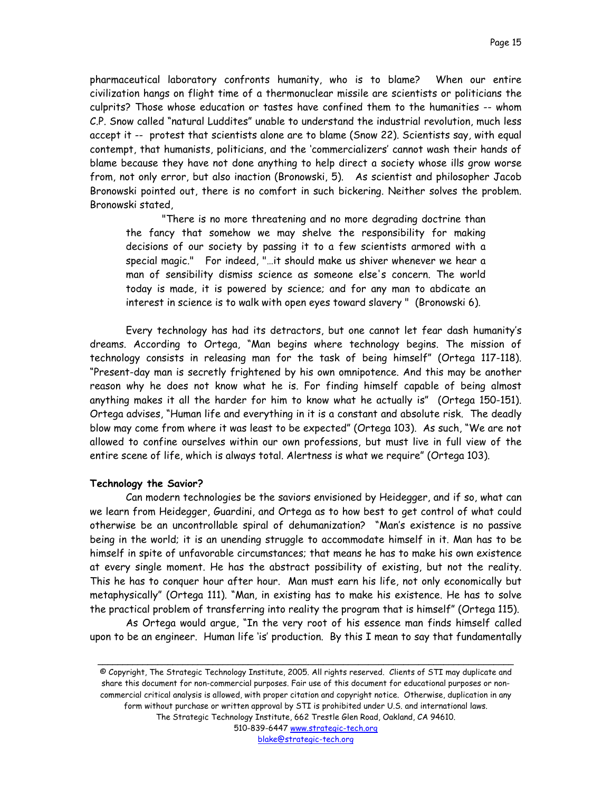pharmaceutical laboratory confronts humanity, who is to blame? When our entire civilization hangs on flight time of a thermonuclear missile are scientists or politicians the culprits? Those whose education or tastes have confined them to the humanities -- whom C.P. Snow called "natural Luddites" unable to understand the industrial revolution, much less accept it -- protest that scientists alone are to blame (Snow 22). Scientists say, with equal contempt, that humanists, politicians, and the 'commercializers' cannot wash their hands of blame because they have not done anything to help direct a society whose ills grow worse from, not only error, but also inaction (Bronowski, 5). As scientist and philosopher Jacob Bronowski pointed out, there is no comfort in such bickering. Neither solves the problem. Bronowski stated,

"There is no more threatening and no more degrading doctrine than the fancy that somehow we may shelve the responsibility for making decisions of our society by passing it to a few scientists armored with a special magic." For indeed, "…it should make us shiver whenever we hear a man of sensibility dismiss science as someone else's concern. The world today is made, it is powered by science; and for any man to abdicate an interest in science is to walk with open eyes toward slavery " (Bronowski 6).

Every technology has had its detractors, but one cannot let fear dash humanity's dreams. According to Ortega, "Man begins where technology begins. The mission of technology consists in releasing man for the task of being himself" (Ortega 117-118). "Present-day man is secretly frightened by his own omnipotence. And this may be another reason why he does not know what he is. For finding himself capable of being almost anything makes it all the harder for him to know what he actually is" (Ortega 150-151). Ortega advises, "Human life and everything in it is a constant and absolute risk. The deadly blow may come from where it was least to be expected" (Ortega 103). As such, "We are not allowed to confine ourselves within our own professions, but must live in full view of the entire scene of life, which is always total. Alertness is what we require" (Ortega 103).

#### **Technology the Savior?**

Can modern technologies be the saviors envisioned by Heidegger, and if so, what can we learn from Heidegger, Guardini, and Ortega as to how best to get control of what could otherwise be an uncontrollable spiral of dehumanization? "Man's existence is no passive being in the world; it is an unending struggle to accommodate himself in it. Man has to be himself in spite of unfavorable circumstances; that means he has to make his own existence at every single moment. He has the abstract possibility of existing, but not the reality. This he has to conquer hour after hour. Man must earn his life, not only economically but metaphysically" (Ortega 111). "Man, in existing has to make his existence. He has to solve the practical problem of transferring into reality the program that is himself" (Ortega 115).

As Ortega would argue, "In the very root of his essence man finds himself called upon to be an engineer. Human life 'is' production. By this I mean to say that fundamentally

\_\_\_\_\_\_\_\_\_\_\_\_\_\_\_\_\_\_\_\_\_\_\_\_\_\_\_\_\_\_\_\_\_\_\_\_\_\_\_\_\_\_\_\_\_\_\_\_\_\_\_\_\_\_\_\_\_\_\_\_\_\_\_\_\_\_\_\_\_\_\_\_\_\_\_\_\_\_\_\_\_\_\_

© Copyright, The Strategic Technology Institute, 2005. All rights reserved. Clients of STI may duplicate and share this document for non-commercial purposes. Fair use of this document for educational purposes or noncommercial critical analysis is allowed, with proper citation and copyright notice. Otherwise, duplication in any form without purchase or written approval by STI is prohibited under U.S. and international laws. The Strategic Technology Institute, 662 Trestle Glen Road, Oakland, CA 94610. 510-839-6447 www.strategic-tech.org blake@strategic-tech.org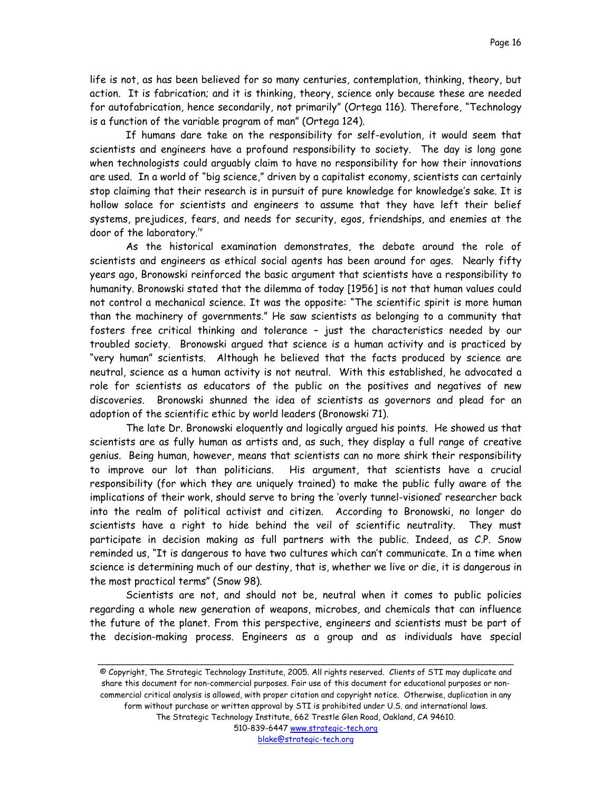life is not, as has been believed for so many centuries, contemplation, thinking, theory, but action. It is fabrication; and it is thinking, theory, science only because these are needed for autofabrication, hence secondarily, not primarily" (Ortega 116). Therefore, "Technology is a function of the variable program of man" (Ortega 124).

If humans dare take on the responsibility for self-evolution, it would seem that scientists and engineers have a profound responsibility to society. The day is long gone when technologists could arguably claim to have no responsibility for how their innovations are used. In a world of "big science," driven by a capitalist economy, scientists can certainly stop claiming that their research is in pursuit of pure knowledge for knowledge's sake. It is hollow solace for scientists and engineers to assume that they have left their belief systems, prejudices, fears, and needs for security, egos, friendships, and enemies at the door of the laboratory.[iv](#page-38-2)

As the historical examination demonstrates, the debate around the role of scientists and engineers as ethical social agents has been around for ages. Nearly fifty years ago, Bronowski reinforced the basic argument that scientists have a responsibility to humanity. Bronowski stated that the dilemma of today [1956] is not that human values could not control a mechanical science. It was the opposite: "The scientific spirit is more human than the machinery of governments." He saw scientists as belonging to a community that fosters free critical thinking and tolerance – just the characteristics needed by our troubled society. Bronowski argued that science is a human activity and is practiced by "very human" scientists. Although he believed that the facts produced by science are neutral, science as a human activity is not neutral. With this established, he advocated a role for scientists as educators of the public on the positives and negatives of new discoveries. Bronowski shunned the idea of scientists as governors and plead for an adoption of the scientific ethic by world leaders (Bronowski 71).

The late Dr. Bronowski eloquently and logically argued his points. He showed us that scientists are as fully human as artists and, as such, they display a full range of creative genius. Being human, however, means that scientists can no more shirk their responsibility to improve our lot than politicians. His argument, that scientists have a crucial responsibility (for which they are uniquely trained) to make the public fully aware of the implications of their work, should serve to bring the 'overly tunnel-visioned' researcher back into the realm of political activist and citizen. According to Bronowski, no longer do scientists have a right to hide behind the veil of scientific neutrality. They must participate in decision making as full partners with the public. Indeed, as C.P. Snow reminded us, "It is dangerous to have two cultures which can't communicate. In a time when science is determining much of our destiny, that is, whether we live or die, it is dangerous in the most practical terms" (Snow 98).

Scientists are not, and should not be, neutral when it comes to public policies regarding a whole new generation of weapons, microbes, and chemicals that can influence the future of the planet. From this perspective, engineers and scientists must be part of the decision-making process. Engineers as a group and as individuals have special

© Copyright, The Strategic Technology Institute, 2005. All rights reserved. Clients of STI may duplicate and share this document for non-commercial purposes. Fair use of this document for educational purposes or noncommercial critical analysis is allowed, with proper citation and copyright notice. Otherwise, duplication in any form without purchase or written approval by STI is prohibited under U.S. and international laws. The Strategic Technology Institute, 662 Trestle Glen Road, Oakland, CA 94610. 510-839-6447 www.strategic-tech.org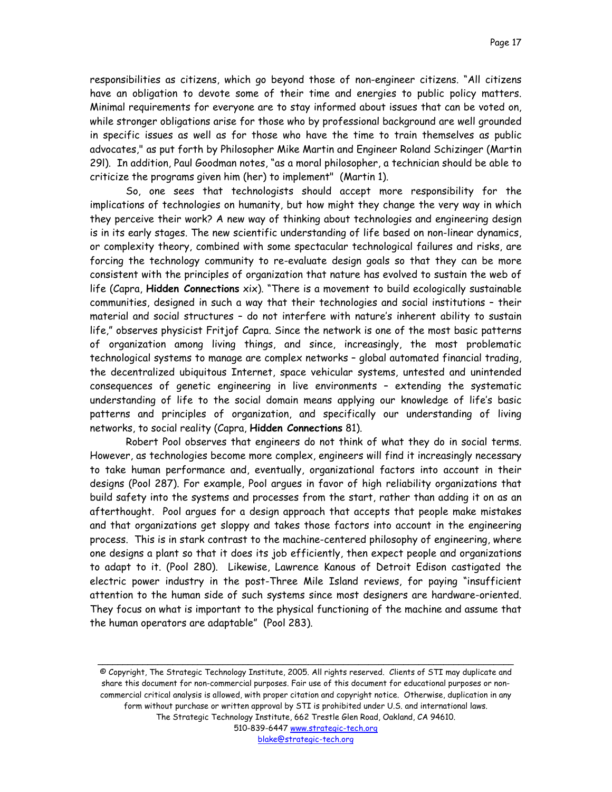responsibilities as citizens, which go beyond those of non-engineer citizens. "All citizens have an obligation to devote some of their time and energies to public policy matters. Minimal requirements for everyone are to stay informed about issues that can be voted on, while stronger obligations arise for those who by professional background are well grounded in specific issues as well as for those who have the time to train themselves as public advocates," as put forth by Philosopher Mike Martin and Engineer Roland Schizinger (Martin 29l). In addition, Paul Goodman notes, "as a moral philosopher, a technician should be able to criticize the programs given him (her) to implement" (Martin 1).

So, one sees that technologists should accept more responsibility for the implications of technologies on humanity, but how might they change the very way in which they perceive their work? A new way of thinking about technologies and engineering design is in its early stages. The new scientific understanding of life based on non-linear dynamics, or complexity theory, combined with some spectacular technological failures and risks, are forcing the technology community to re-evaluate design goals so that they can be more consistent with the principles of organization that nature has evolved to sustain the web of life (Capra, **Hidden Connections** xix). "There is a movement to build ecologically sustainable communities, designed in such a way that their technologies and social institutions – their material and social structures – do not interfere with nature's inherent ability to sustain life," observes physicist Fritjof Capra. Since the network is one of the most basic patterns of organization among living things, and since, increasingly, the most problematic technological systems to manage are complex networks – global automated financial trading, the decentralized ubiquitous Internet, space vehicular systems, untested and unintended consequences of genetic engineering in live environments – extending the systematic understanding of life to the social domain means applying our knowledge of life's basic patterns and principles of organization, and specifically our understanding of living networks, to social reality (Capra, **Hidden Connections** 81).

Robert Pool observes that engineers do not think of what they do in social terms. However, as technologies become more complex, engineers will find it increasingly necessary to take human performance and, eventually, organizational factors into account in their designs (Pool 287). For example, Pool argues in favor of high reliability organizations that build safety into the systems and processes from the start, rather than adding it on as an afterthought. Pool argues for a design approach that accepts that people make mistakes and that organizations get sloppy and takes those factors into account in the engineering process. This is in stark contrast to the machine-centered philosophy of engineering, where one designs a plant so that it does its job efficiently, then expect people and organizations to adapt to it. (Pool 280). Likewise, Lawrence Kanous of Detroit Edison castigated the electric power industry in the post-Three Mile Island reviews, for paying "insufficient attention to the human side of such systems since most designers are hardware-oriented. They focus on what is important to the physical functioning of the machine and assume that the human operators are adaptable" (Pool 283).

© Copyright, The Strategic Technology Institute, 2005. All rights reserved. Clients of STI may duplicate and share this document for non-commercial purposes. Fair use of this document for educational purposes or noncommercial critical analysis is allowed, with proper citation and copyright notice. Otherwise, duplication in any form without purchase or written approval by STI is prohibited under U.S. and international laws. The Strategic Technology Institute, 662 Trestle Glen Road, Oakland, CA 94610. 510-839-6447 www.strategic-tech.org

blake@strategic-tech.org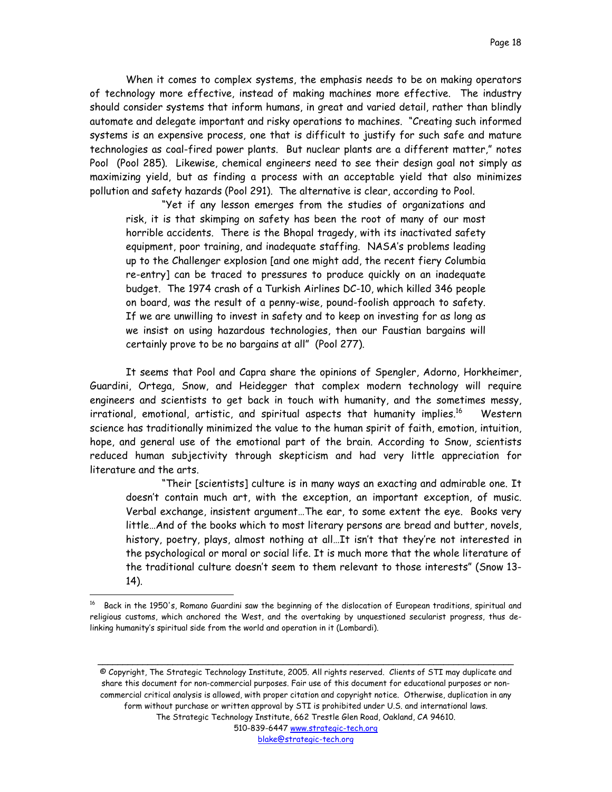When it comes to complex systems, the emphasis needs to be on making operators of technology more effective, instead of making machines more effective. The industry should consider systems that inform humans, in great and varied detail, rather than blindly automate and delegate important and risky operations to machines. "Creating such informed systems is an expensive process, one that is difficult to justify for such safe and mature technologies as coal-fired power plants. But nuclear plants are a different matter," notes Pool (Pool 285). Likewise, chemical engineers need to see their design goal not simply as maximizing yield, but as finding a process with an acceptable yield that also minimizes pollution and safety hazards (Pool 291). The alternative is clear, according to Pool.

"Yet if any lesson emerges from the studies of organizations and risk, it is that skimping on safety has been the root of many of our most horrible accidents. There is the Bhopal tragedy, with its inactivated safety equipment, poor training, and inadequate staffing. NASA's problems leading up to the Challenger explosion [and one might add, the recent fiery Columbia re-entry] can be traced to pressures to produce quickly on an inadequate budget. The 1974 crash of a Turkish Airlines DC-10, which killed 346 people on board, was the result of a penny-wise, pound-foolish approach to safety. If we are unwilling to invest in safety and to keep on investing for as long as we insist on using hazardous technologies, then our Faustian bargains will certainly prove to be no bargains at all" (Pool 277).

It seems that Pool and Capra share the opinions of Spengler, Adorno, Horkheimer, Guardini, Ortega, Snow, and Heidegger that complex modern technology will require engineers and scientists to get back in touch with humanity, and the sometimes messy, irrational, emotional, artistic, and spiritual aspects that humanity implies.<sup>16</sup> Western science has traditionally minimized the value to the human spirit of faith, emotion, intuition, hope, and general use of the emotional part of the brain. According to Snow, scientists reduced human subjectivity through skepticism and had very little appreciation for literature and the arts.

"Their [scientists] culture is in many ways an exacting and admirable one. It doesn't contain much art, with the exception, an important exception, of music. Verbal exchange, insistent argument…The ear, to some extent the eye. Books very little…And of the books which to most literary persons are bread and butter, novels, history, poetry, plays, almost nothing at all…It isn't that they're not interested in the psychological or moral or social life. It is much more that the whole literature of the traditional culture doesn't seem to them relevant to those interests" (Snow 13- 14).

 $\overline{a}$ 

© Copyright, The Strategic Technology Institute, 2005. All rights reserved. Clients of STI may duplicate and share this document for non-commercial purposes. Fair use of this document for educational purposes or noncommercial critical analysis is allowed, with proper citation and copyright notice. Otherwise, duplication in any form without purchase or written approval by STI is prohibited under U.S. and international laws. The Strategic Technology Institute, 662 Trestle Glen Road, Oakland, CA 94610.

<span id="page-17-0"></span> $16$  Back in the 1950's, Romano Guardini saw the beginning of the dislocation of European traditions, spiritual and religious customs, which anchored the West, and the overtaking by unquestioned secularist progress, thus delinking humanity's spiritual side from the world and operation in it (Lombardi).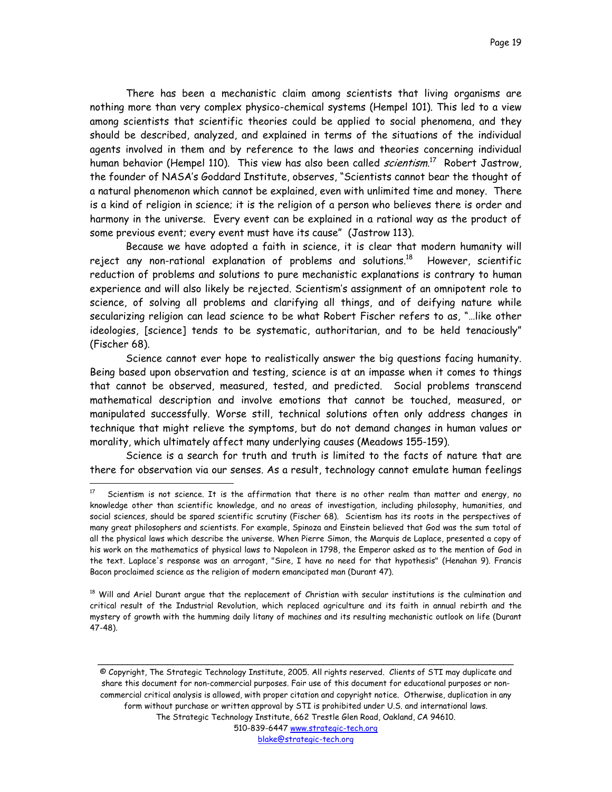There has been a mechanistic claim among scientists that living organisms are nothing more than very complex physico-chemical systems (Hempel 101). This led to a view among scientists that scientific theories could be applied to social phenomena, and they should be described, analyzed, and explained in terms of the situations of the individual agents involved in them and by reference to the laws and theories concerning individual human behavior (Hempel 110). This view has also been called *scientism*.<sup>17</sup> Robert Jastrow, the founder of NASA's Goddard Institute, observes, "Scientists cannot bear the thought of a natural phenomenon which cannot be explained, even with unlimited time and money. There is a kind of religion in science; it is the religion of a person who believes there is order and harmony in the universe. Every event can be explained in a rational way as the product of some previous event; every event must have its cause" (Jastrow 113).

Because we have adopted a faith in science, it is clear that modern humanity will reject any non-rational explanation of problems and solutions.<sup>18</sup> However, scientific reduction of problems and solutions to pure mechanistic explanations is contrary to human experience and will also likely be rejected. Scientism's assignment of an omnipotent role to science, of solving all problems and clarifying all things, and of deifying nature while secularizing religion can lead science to be what Robert Fischer refers to as, "…like other ideologies, [science] tends to be systematic, authoritarian, and to be held tenaciously" (Fischer 68).

Science cannot ever hope to realistically answer the big questions facing humanity. Being based upon observation and testing, science is at an impasse when it comes to things that cannot be observed, measured, tested, and predicted. Social problems transcend mathematical description and involve emotions that cannot be touched, measured, or manipulated successfully. Worse still, technical solutions often only address changes in technique that might relieve the symptoms, but do not demand changes in human values or morality, which ultimately affect many underlying causes (Meadows 155-159).

Science is a search for truth and truth is limited to the facts of nature that are there for observation via our senses. As a result, technology cannot emulate human feelings

 $\overline{a}$ 

<span id="page-18-1"></span><sup>18</sup> Will and Ariel Durant argue that the replacement of Christian with secular institutions is the culmination and critical result of the Industrial Revolution, which replaced agriculture and its faith in annual rebirth and the mystery of growth with the humming daily litany of machines and its resulting mechanistic outlook on life (Durant 47-48).

© Copyright, The Strategic Technology Institute, 2005. All rights reserved. Clients of STI may duplicate and share this document for non-commercial purposes. Fair use of this document for educational purposes or noncommercial critical analysis is allowed, with proper citation and copyright notice. Otherwise, duplication in any form without purchase or written approval by STI is prohibited under U.S. and international laws. The Strategic Technology Institute, 662 Trestle Glen Road, Oakland, CA 94610. 510-839-6447 www.strategic-tech.org

\_\_\_\_\_\_\_\_\_\_\_\_\_\_\_\_\_\_\_\_\_\_\_\_\_\_\_\_\_\_\_\_\_\_\_\_\_\_\_\_\_\_\_\_\_\_\_\_\_\_\_\_\_\_\_\_\_\_\_\_\_\_\_\_\_\_\_\_\_\_\_\_\_\_\_\_\_\_\_\_\_\_\_

<span id="page-18-0"></span> $17$  Scientism is not science. It is the affirmation that there is no other realm than matter and energy, no knowledge other than scientific knowledge, and no areas of investigation, including philosophy, humanities, and social sciences, should be spared scientific scrutiny (Fischer 68). Scientism has its roots in the perspectives of many great philosophers and scientists. For example, Spinoza and Einstein believed that God was the sum total of all the physical laws which describe the universe. When Pierre Simon, the Marquis de Laplace, presented a copy of his work on the mathematics of physical laws to Napoleon in 1798, the Emperor asked as to the mention of God in the text. Laplace's response was an arrogant, "Sire, I have no need for that hypothesis" (Henahan 9). Francis Bacon proclaimed science as the religion of modern emancipated man (Durant 47).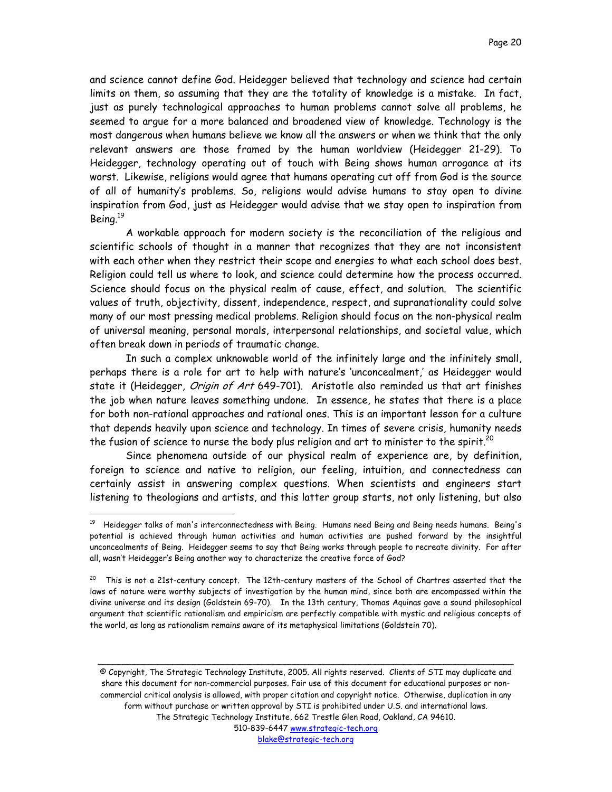and science cannot define God. Heidegger believed that technology and science had certain limits on them, so assuming that they are the totality of knowledge is a mistake. In fact, just as purely technological approaches to human problems cannot solve all problems, he seemed to argue for a more balanced and broadened view of knowledge. Technology is the most dangerous when humans believe we know all the answers or when we think that the only relevant answers are those framed by the human worldview (Heidegger 21-29). To Heidegger, technology operating out of touch with Being shows human arrogance at its worst. Likewise, religions would agree that humans operating cut off from God is the source of all of humanity's problems. So, religions would advise humans to stay open to divine inspiration from God, just as Heidegger would advise that we stay open to inspiration from Being.[19](#page-19-0)

A workable approach for modern society is the reconciliation of the religious and scientific schools of thought in a manner that recognizes that they are not inconsistent with each other when they restrict their scope and energies to what each school does best. Religion could tell us where to look, and science could determine how the process occurred. Science should focus on the physical realm of cause, effect, and solution. The scientific values of truth, objectivity, dissent, independence, respect, and supranationality could solve many of our most pressing medical problems. Religion should focus on the non-physical realm of universal meaning, personal morals, interpersonal relationships, and societal value, which often break down in periods of traumatic change.

In such a complex unknowable world of the infinitely large and the infinitely small, perhaps there is a role for art to help with nature's 'unconcealment,' as Heidegger would state it (Heidegger, *Origin of Art* 649-701). Aristotle also reminded us that art finishes the job when nature leaves something undone. In essence, he states that there is a place for both non-rational approaches and rational ones. This is an important lesson for a culture that depends heavily upon science and technology. In times of severe crisis, humanity needs the fusion of science to nurse the body plus religion and art to minister to the spirit.<sup>20</sup>

Since phenomena outside of our physical realm of experience are, by definition, foreign to science and native to religion, our feeling, intuition, and connectedness can certainly assist in answering complex questions. When scientists and engineers start listening to theologians and artists, and this latter group starts, not only listening, but also

 $\overline{a}$ 

© Copyright, The Strategic Technology Institute, 2005. All rights reserved. Clients of STI may duplicate and share this document for non-commercial purposes. Fair use of this document for educational purposes or noncommercial critical analysis is allowed, with proper citation and copyright notice. Otherwise, duplication in any form without purchase or written approval by STI is prohibited under U.S. and international laws. The Strategic Technology Institute, 662 Trestle Glen Road, Oakland, CA 94610. 510-839-6447 www.strategic-tech.org

\_\_\_\_\_\_\_\_\_\_\_\_\_\_\_\_\_\_\_\_\_\_\_\_\_\_\_\_\_\_\_\_\_\_\_\_\_\_\_\_\_\_\_\_\_\_\_\_\_\_\_\_\_\_\_\_\_\_\_\_\_\_\_\_\_\_\_\_\_\_\_\_\_\_\_\_\_\_\_\_\_\_\_

<span id="page-19-0"></span><sup>&</sup>lt;sup>19</sup> Heidegger talks of man's interconnectedness with Being. Humans need Being and Being needs humans. Being's potential is achieved through human activities and human activities are pushed forward by the insightful unconcealments of Being. Heidegger seems to say that Being works through people to recreate divinity. For after all, wasn't Heidegger's Being another way to characterize the creative force of God?

<span id="page-19-1"></span><sup>&</sup>lt;sup>20</sup> This is not a 21st-century concept. The 12th-century masters of the School of Chartres asserted that the laws of nature were worthy subjects of investigation by the human mind, since both are encompassed within the divine universe and its design (Goldstein 69-70). In the 13th century, Thomas Aquinas gave a sound philosophical argument that scientific rationalism and empiricism are perfectly compatible with mystic and religious concepts of the world, as long as rationalism remains aware of its metaphysical limitations (Goldstein 70).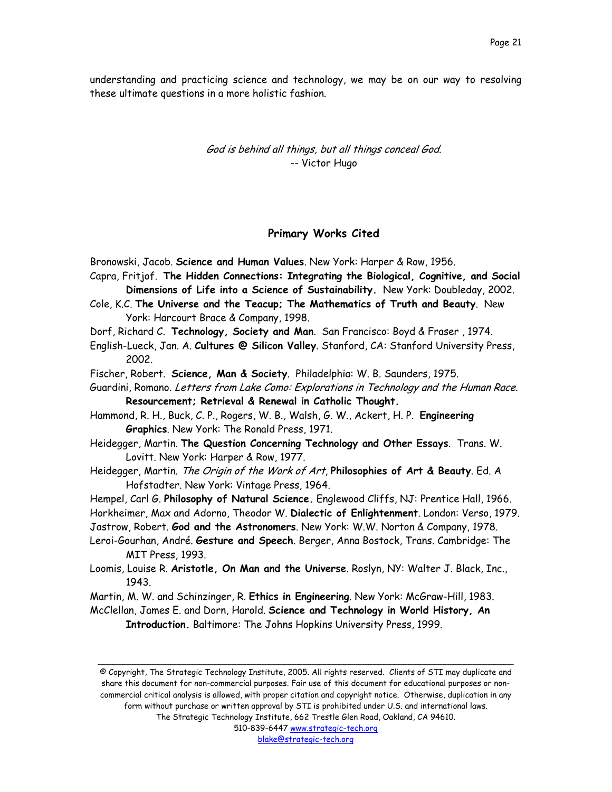understanding and practicing science and technology, we may be on our way to resolving these ultimate questions in a more holistic fashion.

> God is behind all things, but all things conceal God. -- Victor Hugo

## **Primary Works Cited**

Bronowski, Jacob. **Science and Human Values**. New York: Harper & Row, 1956.

- Capra, Fritjof. **The Hidden Connections: Integrating the Biological, Cognitive, and Social Dimensions of Life into a Science of Sustainability.** New York: Doubleday, 2002.
- Cole, K.C. **The Universe and the Teacup; The Mathematics of Truth and Beauty**. New York: Harcourt Brace & Company, 1998.
- Dorf, Richard C. **Technology, Society and Man**. San Francisco: Boyd & Fraser , 1974.
- English-Lueck, Jan. A. **Cultures @ Silicon Valley**. Stanford, CA: Stanford University Press, 2002.
- Fischer, Robert. **Science, Man & Society**. Philadelphia: W. B. Saunders, 1975.
- Guardini, Romano. Letters from Lake Como: Explorations in Technology and the Human Race. **Resourcement; Retrieval & Renewal in Catholic Thought.**
- Hammond, R. H., Buck, C. P., Rogers, W. B., Walsh, G. W., Ackert, H. P. **Engineering Graphics**. New York: The Ronald Press, 1971.
- Heidegger, Martin. **The Question Concerning Technology and Other Essays**. Trans. W. Lovitt. New York: Harper & Row, 1977.
- Heidegger, Martin. The Origin of the Work of Art, **Philosophies of Art & Beauty**. Ed. A Hofstadter. New York: Vintage Press, 1964.
- Hempel, Carl G. **Philosophy of Natural Science.** Englewood Cliffs, NJ: Prentice Hall, 1966. Horkheimer, Max and Adorno, Theodor W. **Dialectic of Enlightenment**. London: Verso, 1979. Jastrow, Robert. **God and the Astronomers**. New York: W.W. Norton & Company, 1978.
- Leroi-Gourhan, André. **Gesture and Speech**. Berger, Anna Bostock, Trans. Cambridge: The MIT Press, 1993.
- Loomis, Louise R. **Aristotle, On Man and the Universe**. Roslyn, NY: Walter J. Black, Inc., 1943.
- Martin, M. W. and Schinzinger, R. **Ethics in Engineering**. New York: McGraw-Hill, 1983.
- McClellan, James E. and Dorn, Harold. **Science and Technology in World History, An Introduction.** Baltimore: The Johns Hopkins University Press, 1999.

© Copyright, The Strategic Technology Institute, 2005. All rights reserved. Clients of STI may duplicate and share this document for non-commercial purposes. Fair use of this document for educational purposes or noncommercial critical analysis is allowed, with proper citation and copyright notice. Otherwise, duplication in any form without purchase or written approval by STI is prohibited under U.S. and international laws. The Strategic Technology Institute, 662 Trestle Glen Road, Oakland, CA 94610.

\_\_\_\_\_\_\_\_\_\_\_\_\_\_\_\_\_\_\_\_\_\_\_\_\_\_\_\_\_\_\_\_\_\_\_\_\_\_\_\_\_\_\_\_\_\_\_\_\_\_\_\_\_\_\_\_\_\_\_\_\_\_\_\_\_\_\_\_\_\_\_\_\_\_\_\_\_\_\_\_\_\_\_

510-839-6447 www.strategic-tech.org blake@strategic-tech.org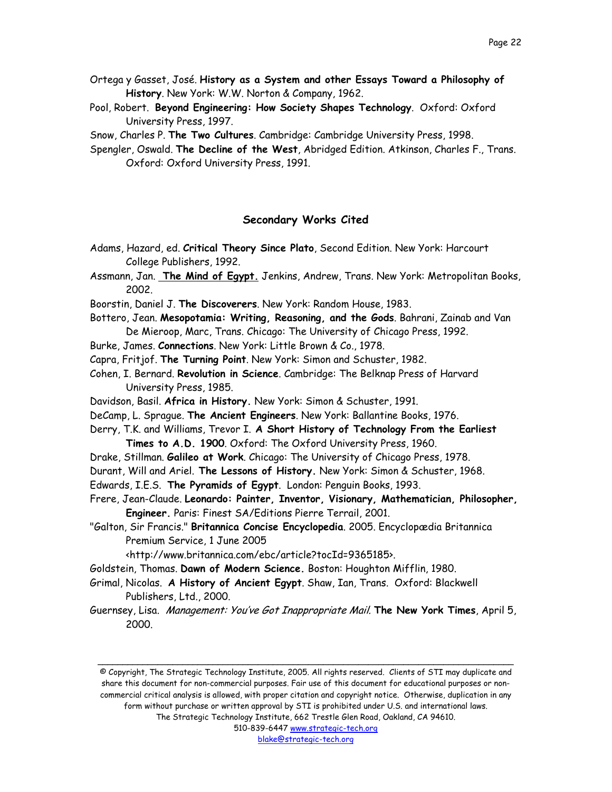- Ortega y Gasset, José. **History as a System and other Essays Toward a Philosophy of History**. New York: W.W. Norton & Company, 1962.
- Pool, Robert. **Beyond Engineering: How Society Shapes Technology**. Oxford: Oxford University Press, 1997.

Snow, Charles P. **The Two Cultures**. Cambridge: Cambridge University Press, 1998.

Spengler, Oswald. **The Decline of the West**, Abridged Edition. Atkinson, Charles F., Trans. Oxford: Oxford University Press, 1991.

# **Secondary Works Cited**

- Adams, Hazard, ed. **Critical Theory Since Plato**, Second Edition. New York: Harcourt College Publishers, 1992.
- Assmann, Jan. **The Mind of Egypt.** Jenkins, Andrew, Trans. New York: Metropolitan Books, 2002.
- Boorstin, Daniel J. **The Discoverers**. New York: Random House, 1983.
- Bottero, Jean. **Mesopotamia: Writing, Reasoning, and the Gods**. Bahrani, Zainab and Van De Mieroop, Marc, Trans. Chicago: The University of Chicago Press, 1992.
- Burke, James. **Connections**. New York: Little Brown & Co., 1978.
- Capra, Fritjof. **The Turning Point**. New York: Simon and Schuster, 1982.
- Cohen, I. Bernard. **Revolution in Science**. Cambridge: The Belknap Press of Harvard University Press, 1985.
- Davidson, Basil. **Africa in History.** New York: Simon & Schuster, 1991.
- DeCamp, L. Sprague. **The Ancient Engineers**. New York: Ballantine Books, 1976.
- Derry, T.K. and Williams, Trevor I. **A Short History of Technology From the Earliest Times to A.D. 1900**. Oxford: The Oxford University Press, 1960.
- Drake, Stillman. **Galileo at Work**. Chicago: The University of Chicago Press, 1978.
- Durant, Will and Ariel. **The Lessons of History.** New York: Simon & Schuster, 1968.
- Edwards, I.E.S. **The Pyramids of Egypt**. London: Penguin Books, 1993.
- Frere, Jean-Claude. **Leonardo: Painter, Inventor, Visionary, Mathematician, Philosopher, Engineer.** Paris: Finest SA/Editions Pierre Terrail, 2001.
- "Galton, Sir Francis." **Britannica Concise Encyclopedia**. 2005. Encyclopædia Britannica Premium Service, 1 June 2005

<http://www.britannica.com/ebc/article?tocId=9365185>.

- Goldstein, Thomas. **Dawn of Modern Science.** Boston: Houghton Mifflin, 1980.
- Grimal, Nicolas. **A History of Ancient Egypt**. Shaw, Ian, Trans. Oxford: Blackwell Publishers, Ltd., 2000.
- Guernsey, Lisa. Management: You've Got Inappropriate Mail. **The New York Times**, April 5, 2000.

© Copyright, The Strategic Technology Institute, 2005. All rights reserved. Clients of STI may duplicate and share this document for non-commercial purposes. Fair use of this document for educational purposes or noncommercial critical analysis is allowed, with proper citation and copyright notice. Otherwise, duplication in any form without purchase or written approval by STI is prohibited under U.S. and international laws. The Strategic Technology Institute, 662 Trestle Glen Road, Oakland, CA 94610.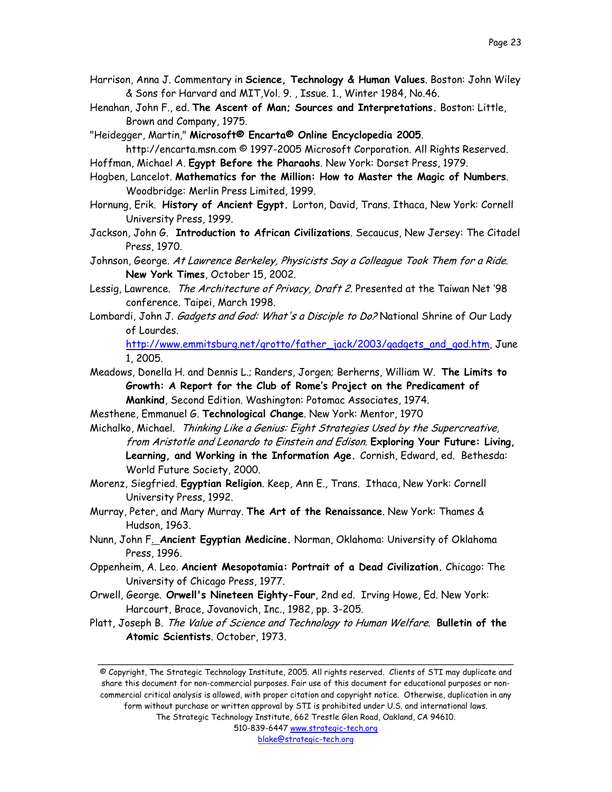- Harrison, Anna J. Commentary in **Science, Technology & Human Values**. Boston: John Wiley & Sons for Harvard and MIT,Vol. 9. , Issue. 1., Winter 1984, No.46.
- Henahan, John F., ed. **The Ascent of Man; Sources and Interpretations.** Boston: Little, Brown and Company, 1975.

"Heidegger, Martin," **Microsoft® Encarta® Online Encyclopedia 2005**.

http://encarta.msn.com © 1997-2005 Microsoft Corporation. All Rights Reserved.

Hoffman, Michael A. **Egypt Before the Pharaohs**. New York: Dorset Press, 1979.

- Hogben, Lancelot. **Mathematics for the Million: How to Master the Magic of Numbers**. Woodbridge: Merlin Press Limited, 1999.
- Hornung, Erik. **History of Ancient Egypt.** Lorton, David, Trans. Ithaca, New York: Cornell University Press, 1999.
- Jackson, John G. **Introduction to African Civilizations**. Secaucus, New Jersey: The Citadel Press, 1970.
- Johnson, George. At Lawrence Berkeley, Physicists Say a Colleague Took Them for a Ride. **New York Times**, October 15, 2002.
- Lessig, Lawrence. The Architecture of Privacy, Draft 2. Presented at the Taiwan Net '98 conference. Taipei, March 1998.
- Lombardi, John J. *Gadgets and God: What's a Disciple to Do?* National Shrine of Our Lady of Lourdes.

[http://www.emmitsburg.net/grotto/father\\_jack/2003/gadgets\\_and\\_god.htm,](http://www.emmitsburg.net/grotto/father_jack/2003/gadgets_and_god.htm) June 1, 2005.

Meadows, Donella H. and Dennis L.; Randers, Jorgen; Berherns, William W. **The Limits to Growth: A Report for the Club of Rome's Project on the Predicament of Mankind**, Second Edition. Washington: Potomac Associates, 1974.

Mesthene, Emmanuel G. **Technological Change**. New York: Mentor, 1970

Michalko, Michael. Thinking Like a Genius: Eight Strategies Used by the Supercreative, from Aristotle and Leonardo to Einstein and Edison. **Exploring Your Future: Living, Learning, and Working in the Information Age.** Cornish, Edward, ed. Bethesda: World Future Society, 2000.

- Morenz, Siegfried. **Egyptian Religion**. Keep, Ann E., Trans. Ithaca, New York: Cornell University Press, 1992.
- Murray, Peter, and Mary Murray. **The Art of the Renaissance**. New York: Thames & Hudson, 1963.
- Nunn, John F. **Ancient Egyptian Medicine.** Norman, Oklahoma: University of Oklahoma Press, 1996.
- Oppenheim, A. Leo. **Ancient Mesopotamia: Portrait of a Dead Civilization.** Chicago: The University of Chicago Press, 1977.
- Orwell, George. **Orwell's Nineteen Eighty-Four**, 2nd ed. Irving Howe, Ed. New York: Harcourt, Brace, Jovanovich, Inc., 1982, pp. 3-205.
- Platt, Joseph B. The Value of Science and Technology to Human Welfare. **Bulletin of the Atomic Scientists**. October, 1973.

© Copyright, The Strategic Technology Institute, 2005. All rights reserved. Clients of STI may duplicate and share this document for non-commercial purposes. Fair use of this document for educational purposes or noncommercial critical analysis is allowed, with proper citation and copyright notice. Otherwise, duplication in any form without purchase or written approval by STI is prohibited under U.S. and international laws. The Strategic Technology Institute, 662 Trestle Glen Road, Oakland, CA 94610.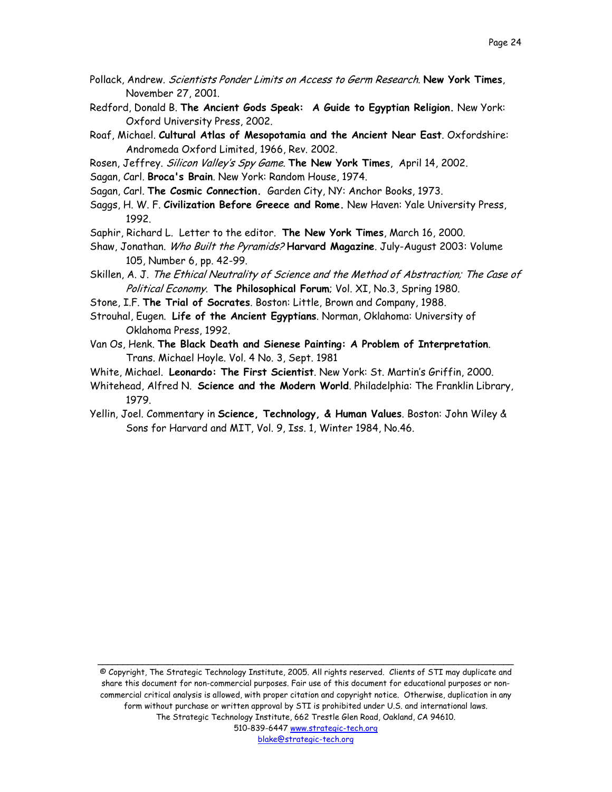- Pollack, Andrew. Scientists Ponder Limits on Access to Germ Research. **New York Times**, November 27, 2001.
- Redford, Donald B. **The Ancient Gods Speak: A Guide to Egyptian Religion.** New York: Oxford University Press, 2002.
- Roaf, Michael. **Cultural Atlas of Mesopotamia and the Ancient Near East**. Oxfordshire: Andromeda Oxford Limited, 1966, Rev. 2002.
- Rosen, Jeffrey. Silicon Valley's Spy Game. **The New York Times**, April 14, 2002.
- Sagan, Carl. **Broca's Brain**. New York: Random House, 1974.
- Sagan, Carl. **The Cosmic Connection.** Garden City, NY: Anchor Books, 1973.
- Saggs, H. W. F. **Civilization Before Greece and Rome.** New Haven: Yale University Press, 1992.
- Saphir, Richard L. Letter to the editor. **The New York Times**, March 16, 2000.
- Shaw, Jonathan. Who Built the Pyramids? **Harvard Magazine**. July-August 2003: Volume 105, Number 6, pp. 42-99.
- Skillen, A. J. The Ethical Neutrality of Science and the Method of Abstraction; The Case of Political Economy. **The Philosophical Forum**; Vol. XI, No.3, Spring 1980.
- Stone, I.F. **The Trial of Socrates**. Boston: Little, Brown and Company, 1988.
- Strouhal, Eugen. **Life of the Ancient Egyptians**. Norman, Oklahoma: University of Oklahoma Press, 1992.
- Van Os, Henk. **The Black Death and Sienese Painting: A Problem of Interpretation**. Trans. Michael Hoyle. Vol. 4 No. 3, Sept. 1981
- White, Michael. **Leonardo: The First Scientist**. New York: St. Martin's Griffin, 2000.
- Whitehead, Alfred N. **Science and the Modern World**. Philadelphia: The Franklin Library, 1979.
- Yellin, Joel. Commentary in **Science, Technology, & Human Values**. Boston: John Wiley & Sons for Harvard and MIT, Vol. 9, Iss. 1, Winter 1984, No.46.

© Copyright, The Strategic Technology Institute, 2005. All rights reserved. Clients of STI may duplicate and share this document for non-commercial purposes. Fair use of this document for educational purposes or noncommercial critical analysis is allowed, with proper citation and copyright notice. Otherwise, duplication in any form without purchase or written approval by STI is prohibited under U.S. and international laws. The Strategic Technology Institute, 662 Trestle Glen Road, Oakland, CA 94610. 510-839-6447 www.strategic-tech.org blake@strategic-tech.org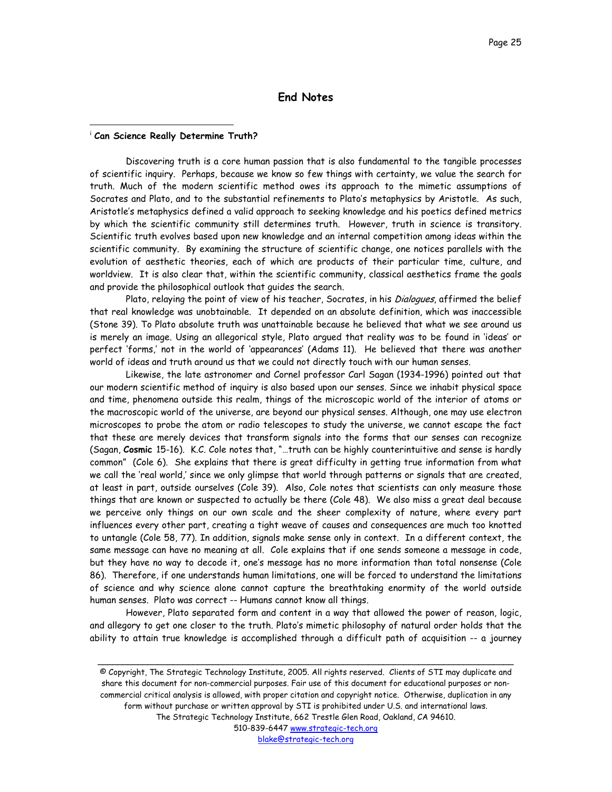# **End Notes**

#### <sup>i</sup> **Can Science Really Determine Truth?**

 $\overline{a}$ 

Discovering truth is a core human passion that is also fundamental to the tangible processes of scientific inquiry. Perhaps, because we know so few things with certainty, we value the search for truth. Much of the modern scientific method owes its approach to the mimetic assumptions of Socrates and Plato, and to the substantial refinements to Plato's metaphysics by Aristotle. As such, Aristotle's metaphysics defined a valid approach to seeking knowledge and his poetics defined metrics by which the scientific community still determines truth. However, truth in science is transitory. Scientific truth evolves based upon new knowledge and an internal competition among ideas within the scientific community. By examining the structure of scientific change, one notices parallels with the evolution of aesthetic theories, each of which are products of their particular time, culture, and worldview. It is also clear that, within the scientific community, classical aesthetics frame the goals and provide the philosophical outlook that guides the search.

Plato, relaying the point of view of his teacher, Socrates, in his Dialogues, affirmed the belief that real knowledge was unobtainable. It depended on an absolute definition, which was inaccessible (Stone 39). To Plato absolute truth was unattainable because he believed that what we see around us is merely an image. Using an allegorical style, Plato argued that reality was to be found in 'ideas' or perfect 'forms,' not in the world of 'appearances' (Adams 11). He believed that there was another world of ideas and truth around us that we could not directly touch with our human senses.

Likewise, the late astronomer and Cornel professor Carl Sagan (1934-1996) pointed out that our modern scientific method of inquiry is also based upon our senses. Since we inhabit physical space and time, phenomena outside this realm, things of the microscopic world of the interior of atoms or the macroscopic world of the universe, are beyond our physical senses. Although, one may use electron microscopes to probe the atom or radio telescopes to study the universe, we cannot escape the fact that these are merely devices that transform signals into the forms that our senses can recognize (Sagan, **Cosmic** 15-16). K.C. Cole notes that, "…truth can be highly counterintuitive and sense is hardly common" (Cole 6). She explains that there is great difficulty in getting true information from what we call the 'real world,' since we only glimpse that world through patterns or signals that are created, at least in part, outside ourselves (Cole 39). Also, Cole notes that scientists can only measure those things that are known or suspected to actually be there (Cole 48). We also miss a great deal because we perceive only things on our own scale and the sheer complexity of nature, where every part influences every other part, creating a tight weave of causes and consequences are much too knotted to untangle (Cole 58, 77). In addition, signals make sense only in context. In a different context, the same message can have no meaning at all. Cole explains that if one sends someone a message in code, but they have no way to decode it, one's message has no more information than total nonsense (Cole 86). Therefore, if one understands human limitations, one will be forced to understand the limitations of science and why science alone cannot capture the breathtaking enormity of the world outside human senses. Plato was correct -- Humans cannot know all things.

However, Plato separated form and content in a way that allowed the power of reason, logic, and allegory to get one closer to the truth. Plato's mimetic philosophy of natural order holds that the ability to attain true knowledge is accomplished through a difficult path of acquisition -- a journey

\_\_\_\_\_\_\_\_\_\_\_\_\_\_\_\_\_\_\_\_\_\_\_\_\_\_\_\_\_\_\_\_\_\_\_\_\_\_\_\_\_\_\_\_\_\_\_\_\_\_\_\_\_\_\_\_\_\_\_\_\_\_\_\_\_\_\_\_\_\_\_\_\_\_\_\_\_\_\_\_\_\_\_

© Copyright, The Strategic Technology Institute, 2005. All rights reserved. Clients of STI may duplicate and share this document for non-commercial purposes. Fair use of this document for educational purposes or noncommercial critical analysis is allowed, with proper citation and copyright notice. Otherwise, duplication in any form without purchase or written approval by STI is prohibited under U.S. and international laws. The Strategic Technology Institute, 662 Trestle Glen Road, Oakland, CA 94610. 510-839-6447 www.strategic-tech.org blake@strategic-tech.org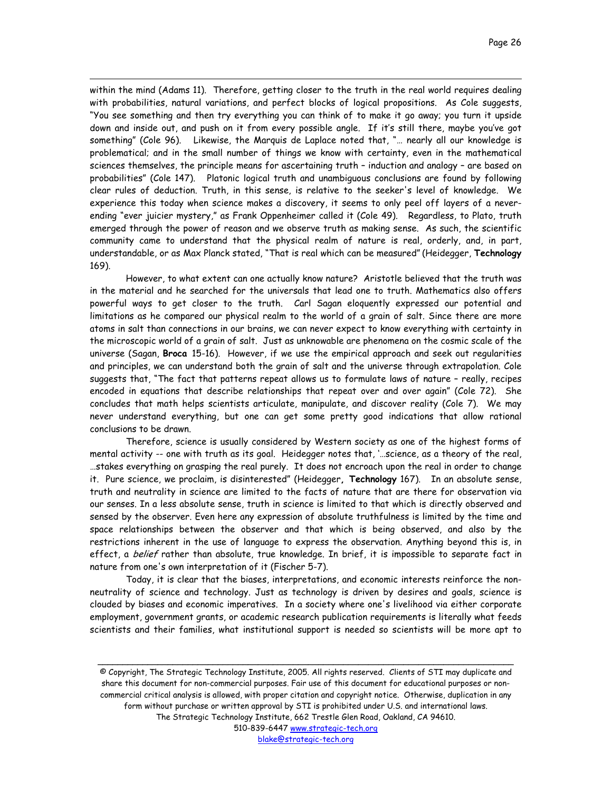within the mind (Adams 11). Therefore, getting closer to the truth in the real world requires dealing with probabilities, natural variations, and perfect blocks of logical propositions. As Cole suggests, "You see something and then try everything you can think of to make it go away; you turn it upside down and inside out, and push on it from every possible angle. If it's still there, maybe you've got something" (Cole 96). Likewise, the Marquis de Laplace noted that, "… nearly all our knowledge is problematical; and in the small number of things we know with certainty, even in the mathematical sciences themselves, the principle means for ascertaining truth – induction and analogy – are based on probabilities" (Cole 147). Platonic logical truth and unambiguous conclusions are found by following clear rules of deduction. Truth, in this sense, is relative to the seeker's level of knowledge. We experience this today when science makes a discovery, it seems to only peel off layers of a neverending "ever juicier mystery," as Frank Oppenheimer called it (Cole 49). Regardless, to Plato, truth emerged through the power of reason and we observe truth as making sense. As such, the scientific community came to understand that the physical realm of nature is real, orderly, and, in part, understandable, or as Max Planck stated, "That is real which can be measured" (Heidegger, **Technology** 169).

 $\overline{a}$ 

However, to what extent can one actually know nature? Aristotle believed that the truth was in the material and he searched for the universals that lead one to truth. Mathematics also offers powerful ways to get closer to the truth. Carl Sagan eloquently expressed our potential and limitations as he compared our physical realm to the world of a grain of salt. Since there are more atoms in salt than connections in our brains, we can never expect to know everything with certainty in the microscopic world of a grain of salt. Just as unknowable are phenomena on the cosmic scale of the universe (Sagan, **Broca** 15-16). However, if we use the empirical approach and seek out regularities and principles, we can understand both the grain of salt and the universe through extrapolation. Cole suggests that, "The fact that patterns repeat allows us to formulate laws of nature – really, recipes encoded in equations that describe relationships that repeat over and over again" (Cole 72). She concludes that math helps scientists articulate, manipulate, and discover reality (Cole 7). We may never understand everything, but one can get some pretty good indications that allow rational conclusions to be drawn.

Therefore, science is usually considered by Western society as one of the highest forms of mental activity -- one with truth as its goal. Heidegger notes that, '…science, as a theory of the real, …stakes everything on grasping the real purely. It does not encroach upon the real in order to change it. Pure science, we proclaim, is disinterested" (Heidegger**, Technology** 167). In an absolute sense, truth and neutrality in science are limited to the facts of nature that are there for observation via our senses. In a less absolute sense, truth in science is limited to that which is directly observed and sensed by the observer. Even here any expression of absolute truthfulness is limited by the time and space relationships between the observer and that which is being observed, and also by the restrictions inherent in the use of language to express the observation. Anything beyond this is, in effect, a belief rather than absolute, true knowledge. In brief, it is impossible to separate fact in nature from one's own interpretation of it (Fischer 5-7).

Today, it is clear that the biases, interpretations, and economic interests reinforce the nonneutrality of science and technology. Just as technology is driven by desires and goals, science is clouded by biases and economic imperatives. In a society where one's livelihood via either corporate employment, government grants, or academic research publication requirements is literally what feeds scientists and their families, what institutional support is needed so scientists will be more apt to

© Copyright, The Strategic Technology Institute, 2005. All rights reserved. Clients of STI may duplicate and share this document for non-commercial purposes. Fair use of this document for educational purposes or noncommercial critical analysis is allowed, with proper citation and copyright notice. Otherwise, duplication in any form without purchase or written approval by STI is prohibited under U.S. and international laws. The Strategic Technology Institute, 662 Trestle Glen Road, Oakland, CA 94610. 510-839-6447 www.strategic-tech.org

\_\_\_\_\_\_\_\_\_\_\_\_\_\_\_\_\_\_\_\_\_\_\_\_\_\_\_\_\_\_\_\_\_\_\_\_\_\_\_\_\_\_\_\_\_\_\_\_\_\_\_\_\_\_\_\_\_\_\_\_\_\_\_\_\_\_\_\_\_\_\_\_\_\_\_\_\_\_\_\_\_\_\_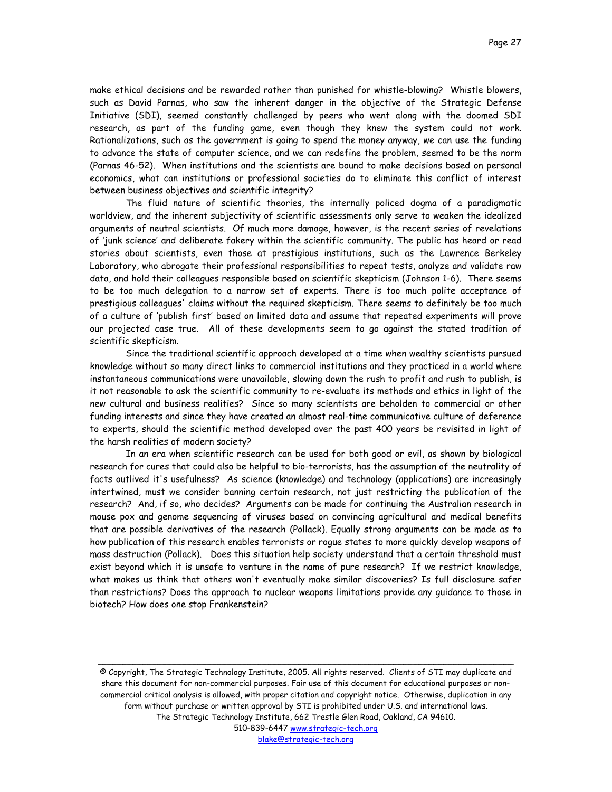make ethical decisions and be rewarded rather than punished for whistle-blowing? Whistle blowers, such as David Parnas, who saw the inherent danger in the objective of the Strategic Defense Initiative (SDI), seemed constantly challenged by peers who went along with the doomed SDI research, as part of the funding game, even though they knew the system could not work. Rationalizations, such as the government is going to spend the money anyway, we can use the funding to advance the state of computer science, and we can redefine the problem, seemed to be the norm (Parnas 46-52). When institutions and the scientists are bound to make decisions based on personal economics, what can institutions or professional societies do to eliminate this conflict of interest between business objectives and scientific integrity?

 $\overline{a}$ 

The fluid nature of scientific theories, the internally policed dogma of a paradigmatic worldview, and the inherent subjectivity of scientific assessments only serve to weaken the idealized arguments of neutral scientists. Of much more damage, however, is the recent series of revelations of 'junk science' and deliberate fakery within the scientific community. The public has heard or read stories about scientists, even those at prestigious institutions, such as the Lawrence Berkeley Laboratory, who abrogate their professional responsibilities to repeat tests, analyze and validate raw data, and hold their colleagues responsible based on scientific skepticism (Johnson 1-6). There seems to be too much delegation to a narrow set of experts. There is too much polite acceptance of prestigious colleagues' claims without the required skepticism. There seems to definitely be too much of a culture of 'publish first' based on limited data and assume that repeated experiments will prove our projected case true. All of these developments seem to go against the stated tradition of scientific skepticism.

Since the traditional scientific approach developed at a time when wealthy scientists pursued knowledge without so many direct links to commercial institutions and they practiced in a world where instantaneous communications were unavailable, slowing down the rush to profit and rush to publish, is it not reasonable to ask the scientific community to re-evaluate its methods and ethics in light of the new cultural and business realities? Since so many scientists are beholden to commercial or other funding interests and since they have created an almost real-time communicative culture of deference to experts, should the scientific method developed over the past 400 years be revisited in light of the harsh realities of modern society?

In an era when scientific research can be used for both good or evil, as shown by biological research for cures that could also be helpful to bio-terrorists, has the assumption of the neutrality of facts outlived it's usefulness? As science (knowledge) and technology (applications) are increasingly intertwined, must we consider banning certain research, not just restricting the publication of the research? And, if so, who decides? Arguments can be made for continuing the Australian research in mouse pox and genome sequencing of viruses based on convincing agricultural and medical benefits that are possible derivatives of the research (Pollack). Equally strong arguments can be made as to how publication of this research enables terrorists or rogue states to more quickly develop weapons of mass destruction (Pollack). Does this situation help society understand that a certain threshold must exist beyond which it is unsafe to venture in the name of pure research? If we restrict knowledge, what makes us think that others won't eventually make similar discoveries? Is full disclosure safer than restrictions? Does the approach to nuclear weapons limitations provide any guidance to those in biotech? How does one stop Frankenstein?

© Copyright, The Strategic Technology Institute, 2005. All rights reserved. Clients of STI may duplicate and share this document for non-commercial purposes. Fair use of this document for educational purposes or noncommercial critical analysis is allowed, with proper citation and copyright notice. Otherwise, duplication in any form without purchase or written approval by STI is prohibited under U.S. and international laws. The Strategic Technology Institute, 662 Trestle Glen Road, Oakland, CA 94610. 510-839-6447 www.strategic-tech.org blake@strategic-tech.org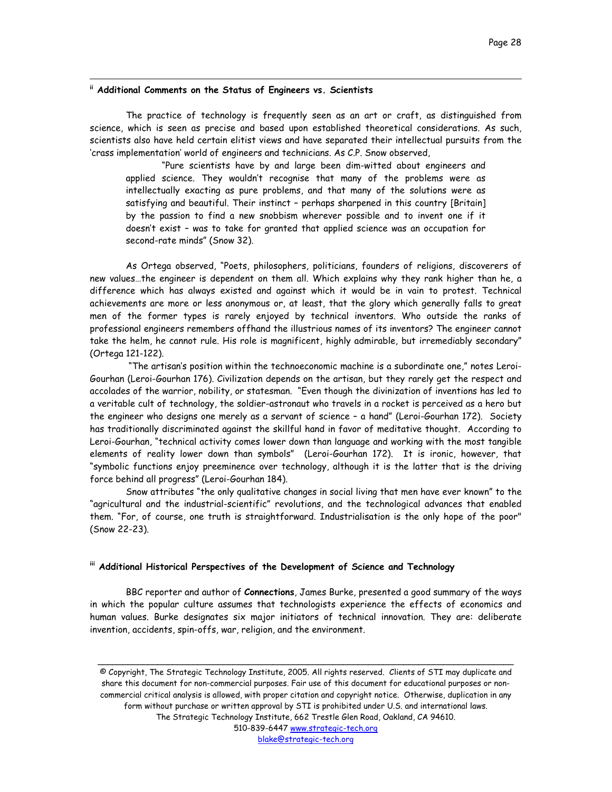# **ii Additional Comments on the Status of Engineers vs. Scientists**

 $\overline{a}$ 

The practice of technology is frequently seen as an art or craft, as distinguished from science, which is seen as precise and based upon established theoretical considerations. As such, scientists also have held certain elitist views and have separated their intellectual pursuits from the 'crass implementation' world of engineers and technicians. As C.P. Snow observed,

"Pure scientists have by and large been dim-witted about engineers and applied science. They wouldn't recognise that many of the problems were as intellectually exacting as pure problems, and that many of the solutions were as satisfying and beautiful. Their instinct – perhaps sharpened in this country [Britain] by the passion to find a new snobbism wherever possible and to invent one if it doesn't exist – was to take for granted that applied science was an occupation for second-rate minds" (Snow 32).

As Ortega observed, "Poets, philosophers, politicians, founders of religions, discoverers of new values…the engineer is dependent on them all. Which explains why they rank higher than he, a difference which has always existed and against which it would be in vain to protest. Technical achievements are more or less anonymous or, at least, that the glory which generally falls to great men of the former types is rarely enjoyed by technical inventors. Who outside the ranks of professional engineers remembers offhand the illustrious names of its inventors? The engineer cannot take the helm, he cannot rule. His role is magnificent, highly admirable, but irremediably secondary" (Ortega 121-122).

 "The artisan's position within the technoeconomic machine is a subordinate one," notes Leroi-Gourhan (Leroi-Gourhan 176). Civilization depends on the artisan, but they rarely get the respect and accolades of the warrior, nobility, or statesman. "Even though the divinization of inventions has led to a veritable cult of technology, the soldier-astronaut who travels in a rocket is perceived as a hero but the engineer who designs one merely as a servant of science – a hand" (Leroi-Gourhan 172). Society has traditionally discriminated against the skillful hand in favor of meditative thought. According to Leroi-Gourhan, "technical activity comes lower down than language and working with the most tangible elements of reality lower down than symbols" (Leroi-Gourhan 172). It is ironic, however, that "symbolic functions enjoy preeminence over technology, although it is the latter that is the driving force behind all progress" (Leroi-Gourhan 184).

Snow attributes "the only qualitative changes in social living that men have ever known" to the "agricultural and the industrial-scientific" revolutions, and the technological advances that enabled them. "For, of course, one truth is straightforward. Industrialisation is the only hope of the poor" (Snow 22-23).

# **iii Additional Historical Perspectives of the Development of Science and Technology**

BBC reporter and author of **Connections**, James Burke, presented a good summary of the ways in which the popular culture assumes that technologists experience the effects of economics and human values. Burke designates six major initiators of technical innovation. They are: deliberate invention, accidents, spin-offs, war, religion, and the environment.

© Copyright, The Strategic Technology Institute, 2005. All rights reserved. Clients of STI may duplicate and share this document for non-commercial purposes. Fair use of this document for educational purposes or noncommercial critical analysis is allowed, with proper citation and copyright notice. Otherwise, duplication in any form without purchase or written approval by STI is prohibited under U.S. and international laws. The Strategic Technology Institute, 662 Trestle Glen Road, Oakland, CA 94610. 510-839-6447 www.strategic-tech.org blake@strategic-tech.org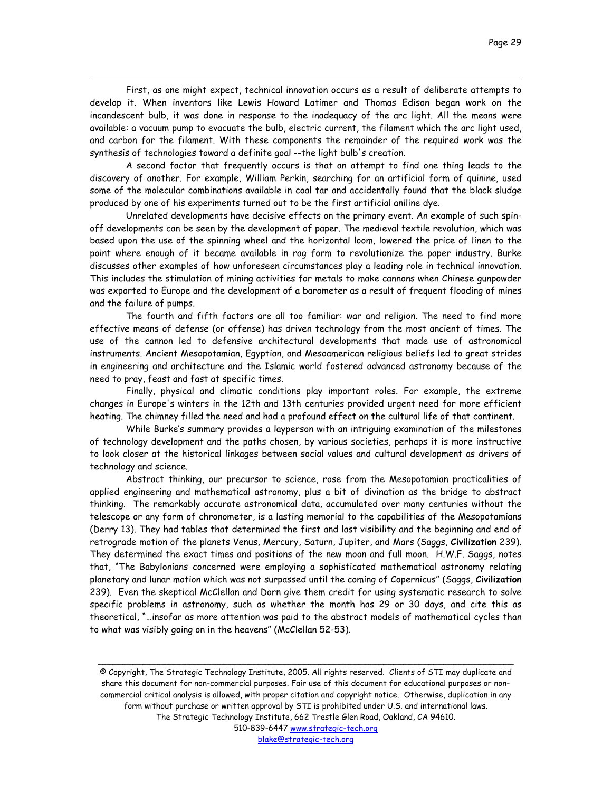First, as one might expect, technical innovation occurs as a result of deliberate attempts to develop it. When inventors like Lewis Howard Latimer and Thomas Edison began work on the incandescent bulb, it was done in response to the inadequacy of the arc light. All the means were available: a vacuum pump to evacuate the bulb, electric current, the filament which the arc light used, and carbon for the filament. With these components the remainder of the required work was the synthesis of technologies toward a definite goal --the light bulb's creation.

 $\overline{a}$ 

A second factor that frequently occurs is that an attempt to find one thing leads to the discovery of another. For example, William Perkin, searching for an artificial form of quinine, used some of the molecular combinations available in coal tar and accidentally found that the black sludge produced by one of his experiments turned out to be the first artificial aniline dye.

Unrelated developments have decisive effects on the primary event. An example of such spinoff developments can be seen by the development of paper. The medieval textile revolution, which was based upon the use of the spinning wheel and the horizontal loom, lowered the price of linen to the point where enough of it became available in rag form to revolutionize the paper industry. Burke discusses other examples of how unforeseen circumstances play a leading role in technical innovation. This includes the stimulation of mining activities for metals to make cannons when Chinese gunpowder was exported to Europe and the development of a barometer as a result of frequent flooding of mines and the failure of pumps.

The fourth and fifth factors are all too familiar: war and religion. The need to find more effective means of defense (or offense) has driven technology from the most ancient of times. The use of the cannon led to defensive architectural developments that made use of astronomical instruments. Ancient Mesopotamian, Egyptian, and Mesoamerican religious beliefs led to great strides in engineering and architecture and the Islamic world fostered advanced astronomy because of the need to pray, feast and fast at specific times.

Finally, physical and climatic conditions play important roles. For example, the extreme changes in Europe's winters in the 12th and 13th centuries provided urgent need for more efficient heating. The chimney filled the need and had a profound effect on the cultural life of that continent.

While Burke's summary provides a layperson with an intriguing examination of the milestones of technology development and the paths chosen, by various societies, perhaps it is more instructive to look closer at the historical linkages between social values and cultural development as drivers of technology and science.

Abstract thinking, our precursor to science, rose from the Mesopotamian practicalities of applied engineering and mathematical astronomy, plus a bit of divination as the bridge to abstract thinking. The remarkably accurate astronomical data, accumulated over many centuries without the telescope or any form of chronometer, is a lasting memorial to the capabilities of the Mesopotamians (Derry 13). They had tables that determined the first and last visibility and the beginning and end of retrograde motion of the planets Venus, Mercury, Saturn, Jupiter, and Mars (Saggs, **Civilization** 239). They determined the exact times and positions of the new moon and full moon. H.W.F. Saggs, notes that, "The Babylonians concerned were employing a sophisticated mathematical astronomy relating planetary and lunar motion which was not surpassed until the coming of Copernicus" (Saggs, **Civilization** 239). Even the skeptical McClellan and Dorn give them credit for using systematic research to solve specific problems in astronomy, such as whether the month has 29 or 30 days, and cite this as theoretical, "…insofar as more attention was paid to the abstract models of mathematical cycles than to what was visibly going on in the heavens" (McClellan 52-53).

© Copyright, The Strategic Technology Institute, 2005. All rights reserved. Clients of STI may duplicate and share this document for non-commercial purposes. Fair use of this document for educational purposes or noncommercial critical analysis is allowed, with proper citation and copyright notice. Otherwise, duplication in any form without purchase or written approval by STI is prohibited under U.S. and international laws. The Strategic Technology Institute, 662 Trestle Glen Road, Oakland, CA 94610. 510-839-6447 www.strategic-tech.org

\_\_\_\_\_\_\_\_\_\_\_\_\_\_\_\_\_\_\_\_\_\_\_\_\_\_\_\_\_\_\_\_\_\_\_\_\_\_\_\_\_\_\_\_\_\_\_\_\_\_\_\_\_\_\_\_\_\_\_\_\_\_\_\_\_\_\_\_\_\_\_\_\_\_\_\_\_\_\_\_\_\_\_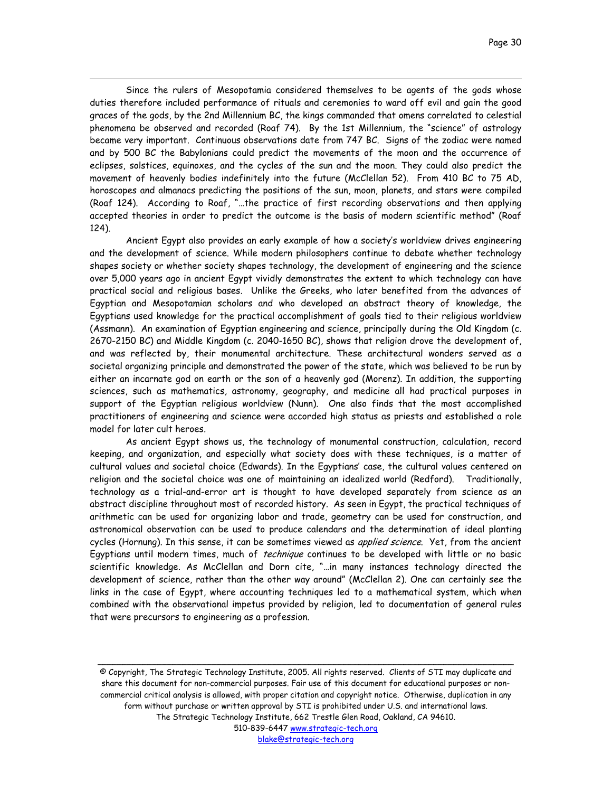Page 30

Since the rulers of Mesopotamia considered themselves to be agents of the gods whose duties therefore included performance of rituals and ceremonies to ward off evil and gain the good graces of the gods, by the 2nd Millennium BC, the kings commanded that omens correlated to celestial phenomena be observed and recorded (Roaf 74). By the 1st Millennium, the "science" of astrology became very important. Continuous observations date from 747 BC. Signs of the zodiac were named and by 500 BC the Babylonians could predict the movements of the moon and the occurrence of eclipses, solstices, equinoxes, and the cycles of the sun and the moon. They could also predict the movement of heavenly bodies indefinitely into the future (McClellan 52). From 410 BC to 75 AD, horoscopes and almanacs predicting the positions of the sun, moon, planets, and stars were compiled (Roaf 124). According to Roaf, "…the practice of first recording observations and then applying accepted theories in order to predict the outcome is the basis of modern scientific method" (Roaf 124).

 $\overline{a}$ 

Ancient Egypt also provides an early example of how a society's worldview drives engineering and the development of science. While modern philosophers continue to debate whether technology shapes society or whether society shapes technology, the development of engineering and the science over 5,000 years ago in ancient Egypt vividly demonstrates the extent to which technology can have practical social and religious bases. Unlike the Greeks, who later benefited from the advances of Egyptian and Mesopotamian scholars and who developed an abstract theory of knowledge, the Egyptians used knowledge for the practical accomplishment of goals tied to their religious worldview (Assmann). An examination of Egyptian engineering and science, principally during the Old Kingdom (c. 2670-2150 BC) and Middle Kingdom (c. 2040-1650 BC), shows that religion drove the development of, and was reflected by, their monumental architecture. These architectural wonders served as a societal organizing principle and demonstrated the power of the state, which was believed to be run by either an incarnate god on earth or the son of a heavenly god (Morenz). In addition, the supporting sciences, such as mathematics, astronomy, geography, and medicine all had practical purposes in support of the Egyptian religious worldview (Nunn). One also finds that the most accomplished practitioners of engineering and science were accorded high status as priests and established a role model for later cult heroes.

As ancient Egypt shows us, the technology of monumental construction, calculation, record keeping, and organization, and especially what society does with these techniques, is a matter of cultural values and societal choice (Edwards). In the Egyptians' case, the cultural values centered on religion and the societal choice was one of maintaining an idealized world (Redford). Traditionally, technology as a trial-and-error art is thought to have developed separately from science as an abstract discipline throughout most of recorded history. As seen in Egypt, the practical techniques of arithmetic can be used for organizing labor and trade, geometry can be used for construction, and astronomical observation can be used to produce calendars and the determination of ideal planting cycles (Hornung). In this sense, it can be sometimes viewed as *applied science*. Yet, from the ancient Egyptians until modern times, much of *technique* continues to be developed with little or no basic scientific knowledge. As McClellan and Dorn cite, "…in many instances technology directed the development of science, rather than the other way around" (McClellan 2). One can certainly see the links in the case of Egypt, where accounting techniques led to a mathematical system, which when combined with the observational impetus provided by religion, led to documentation of general rules that were precursors to engineering as a profession.

© Copyright, The Strategic Technology Institute, 2005. All rights reserved. Clients of STI may duplicate and share this document for non-commercial purposes. Fair use of this document for educational purposes or noncommercial critical analysis is allowed, with proper citation and copyright notice. Otherwise, duplication in any form without purchase or written approval by STI is prohibited under U.S. and international laws. The Strategic Technology Institute, 662 Trestle Glen Road, Oakland, CA 94610. 510-839-6447 www.strategic-tech.org

\_\_\_\_\_\_\_\_\_\_\_\_\_\_\_\_\_\_\_\_\_\_\_\_\_\_\_\_\_\_\_\_\_\_\_\_\_\_\_\_\_\_\_\_\_\_\_\_\_\_\_\_\_\_\_\_\_\_\_\_\_\_\_\_\_\_\_\_\_\_\_\_\_\_\_\_\_\_\_\_\_\_\_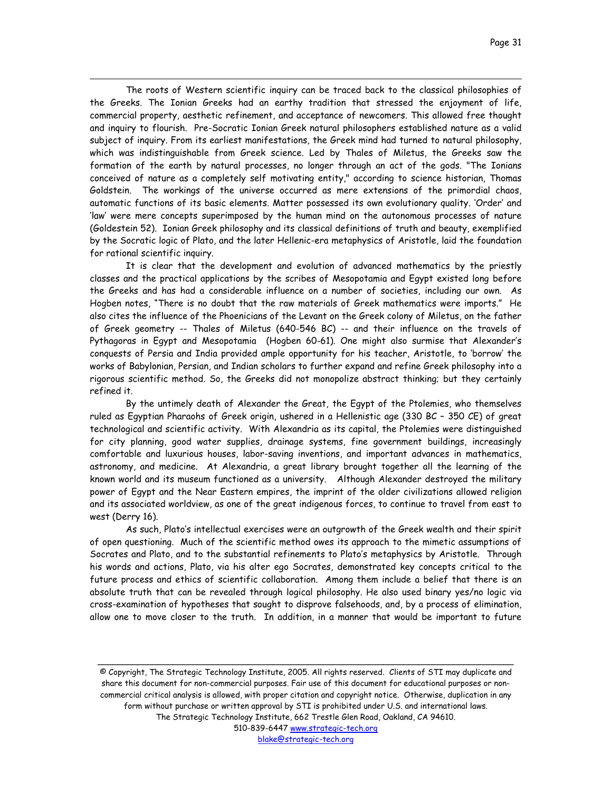The roots of Western scientific inquiry can be traced back to the classical philosophies of the Greeks. The Ionian Greeks had an earthy tradition that stressed the enjoyment of life, commercial property, aesthetic refinement, and acceptance of newcomers. This allowed free thought and inquiry to flourish. Pre-Socratic Ionian Greek natural philosophers established nature as a valid subject of inquiry. From its earliest manifestations, the Greek mind had turned to natural philosophy, which was indistinguishable from Greek science. Led by Thales of Miletus, the Greeks saw the formation of the earth by natural processes, no longer through an act of the gods. "The Ionians conceived of nature as a completely self motivating entity," according to science historian, Thomas Goldstein. The workings of the universe occurred as mere extensions of the primordial chaos, automatic functions of its basic elements. Matter possessed its own evolutionary quality. 'Order' and 'law' were mere concepts superimposed by the human mind on the autonomous processes of nature (Goldestein 52). Ionian Greek philosophy and its classical definitions of truth and beauty, exemplified by the Socratic logic of Plato, and the later Hellenic-era metaphysics of Aristotle, laid the foundation for rational scientific inquiry.

 $\overline{a}$ 

It is clear that the development and evolution of advanced mathematics by the priestly classes and the practical applications by the scribes of Mesopotamia and Egypt existed long before the Greeks and has had a considerable influence on a number of societies, including our own. As Hogben notes, "There is no doubt that the raw materials of Greek mathematics were imports." He also cites the influence of the Phoenicians of the Levant on the Greek colony of Miletus, on the father of Greek geometry -- Thales of Miletus (640-546 BC) -- and their influence on the travels of Pythagoras in Egypt and Mesopotamia (Hogben 60-61). One might also surmise that Alexander's conquests of Persia and India provided ample opportunity for his teacher, Aristotle, to 'borrow' the works of Babylonian, Persian, and Indian scholars to further expand and refine Greek philosophy into a rigorous scientific method. So, the Greeks did not monopolize abstract thinking; but they certainly refined it.

By the untimely death of Alexander the Great, the Egypt of the Ptolemies, who themselves ruled as Egyptian Pharaohs of Greek origin, ushered in a Hellenistic age (330 BC – 350 CE) of great technological and scientific activity. With Alexandria as its capital, the Ptolemies were distinguished for city planning, good water supplies, drainage systems, fine government buildings, increasingly comfortable and luxurious houses, labor-saving inventions, and important advances in mathematics, astronomy, and medicine. At Alexandria, a great library brought together all the learning of the known world and its museum functioned as a university. Although Alexander destroyed the military power of Egypt and the Near Eastern empires, the imprint of the older civilizations allowed religion and its associated worldview, as one of the great indigenous forces, to continue to travel from east to west (Derry 16).

As such, Plato's intellectual exercises were an outgrowth of the Greek wealth and their spirit of open questioning. Much of the scientific method owes its approach to the mimetic assumptions of Socrates and Plato, and to the substantial refinements to Plato's metaphysics by Aristotle. Through his words and actions, Plato, via his alter ego Socrates, demonstrated key concepts critical to the future process and ethics of scientific collaboration. Among them include a belief that there is an absolute truth that can be revealed through logical philosophy. He also used binary yes/no logic via cross-examination of hypotheses that sought to disprove falsehoods, and, by a process of elimination, allow one to move closer to the truth. In addition, in a manner that would be important to future

© Copyright, The Strategic Technology Institute, 2005. All rights reserved. Clients of STI may duplicate and share this document for non-commercial purposes. Fair use of this document for educational purposes or noncommercial critical analysis is allowed, with proper citation and copyright notice. Otherwise, duplication in any form without purchase or written approval by STI is prohibited under U.S. and international laws. The Strategic Technology Institute, 662 Trestle Glen Road, Oakland, CA 94610. 510-839-6447 www.strategic-tech.org

\_\_\_\_\_\_\_\_\_\_\_\_\_\_\_\_\_\_\_\_\_\_\_\_\_\_\_\_\_\_\_\_\_\_\_\_\_\_\_\_\_\_\_\_\_\_\_\_\_\_\_\_\_\_\_\_\_\_\_\_\_\_\_\_\_\_\_\_\_\_\_\_\_\_\_\_\_\_\_\_\_\_\_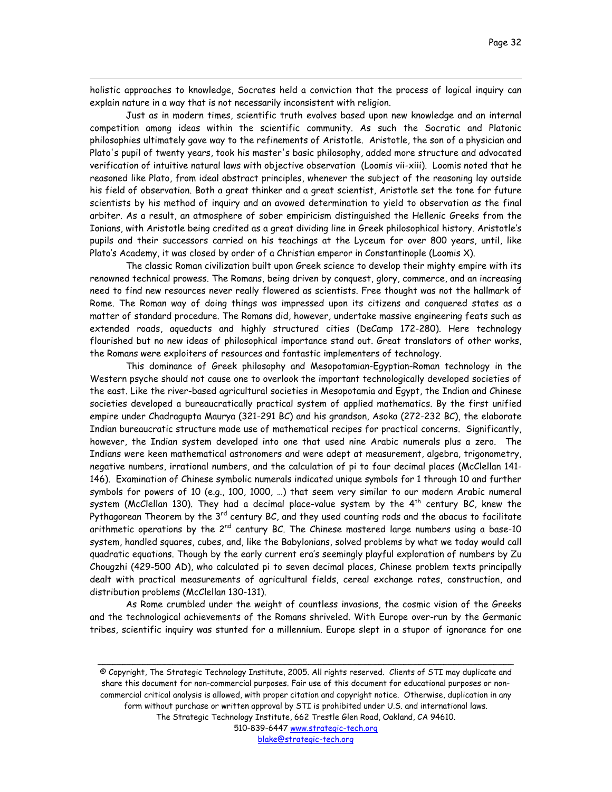holistic approaches to knowledge, Socrates held a conviction that the process of logical inquiry can explain nature in a way that is not necessarily inconsistent with religion.

 $\overline{a}$ 

Just as in modern times, scientific truth evolves based upon new knowledge and an internal competition among ideas within the scientific community. As such the Socratic and Platonic philosophies ultimately gave way to the refinements of Aristotle. Aristotle, the son of a physician and Plato's pupil of twenty years, took his master's basic philosophy, added more structure and advocated verification of intuitive natural laws with objective observation (Loomis vii-xiii). Loomis noted that he reasoned like Plato, from ideal abstract principles, whenever the subject of the reasoning lay outside his field of observation. Both a great thinker and a great scientist, Aristotle set the tone for future scientists by his method of inquiry and an avowed determination to yield to observation as the final arbiter. As a result, an atmosphere of sober empiricism distinguished the Hellenic Greeks from the Ionians, with Aristotle being credited as a great dividing line in Greek philosophical history. Aristotle's pupils and their successors carried on his teachings at the Lyceum for over 800 years, until, like Plato's Academy, it was closed by order of a Christian emperor in Constantinople (Loomis X).

The classic Roman civilization built upon Greek science to develop their mighty empire with its renowned technical prowess. The Romans, being driven by conquest, glory, commerce, and an increasing need to find new resources never really flowered as scientists. Free thought was not the hallmark of Rome. The Roman way of doing things was impressed upon its citizens and conquered states as a matter of standard procedure. The Romans did, however, undertake massive engineering feats such as extended roads, aqueducts and highly structured cities (DeCamp 172-280). Here technology flourished but no new ideas of philosophical importance stand out. Great translators of other works, the Romans were exploiters of resources and fantastic implementers of technology.

This dominance of Greek philosophy and Mesopotamian-Egyptian-Roman technology in the Western psyche should not cause one to overlook the important technologically developed societies of the east. Like the river-based agricultural societies in Mesopotamia and Egypt, the Indian and Chinese societies developed a bureaucratically practical system of applied mathematics. By the first unified empire under Chadragupta Maurya (321-291 BC) and his grandson, Asoka (272-232 BC), the elaborate Indian bureaucratic structure made use of mathematical recipes for practical concerns. Significantly, however, the Indian system developed into one that used nine Arabic numerals plus a zero. The Indians were keen mathematical astronomers and were adept at measurement, algebra, trigonometry, negative numbers, irrational numbers, and the calculation of pi to four decimal places (McClellan 141- 146). Examination of Chinese symbolic numerals indicated unique symbols for 1 through 10 and further symbols for powers of 10 (e.g., 100, 1000, …) that seem very similar to our modern Arabic numeral system (McClellan 130). They had a decimal place-value system by the  $4<sup>th</sup>$  century BC, knew the Pythagorean Theorem by the  $3^{rd}$  century BC, and they used counting rods and the abacus to facilitate arithmetic operations by the 2<sup>nd</sup> century BC. The Chinese mastered large numbers using a base-10 system, handled squares, cubes, and, like the Babylonians, solved problems by what we today would call quadratic equations. Though by the early current era's seemingly playful exploration of numbers by Zu Chougzhi (429-500 AD), who calculated pi to seven decimal places, Chinese problem texts principally dealt with practical measurements of agricultural fields, cereal exchange rates, construction, and distribution problems (McClellan 130-131).

As Rome crumbled under the weight of countless invasions, the cosmic vision of the Greeks and the technological achievements of the Romans shriveled. With Europe over-run by the Germanic tribes, scientific inquiry was stunted for a millennium. Europe slept in a stupor of ignorance for one

© Copyright, The Strategic Technology Institute, 2005. All rights reserved. Clients of STI may duplicate and share this document for non-commercial purposes. Fair use of this document for educational purposes or noncommercial critical analysis is allowed, with proper citation and copyright notice. Otherwise, duplication in any form without purchase or written approval by STI is prohibited under U.S. and international laws. The Strategic Technology Institute, 662 Trestle Glen Road, Oakland, CA 94610. 510-839-6447 www.strategic-tech.org blake@strategic-tech.org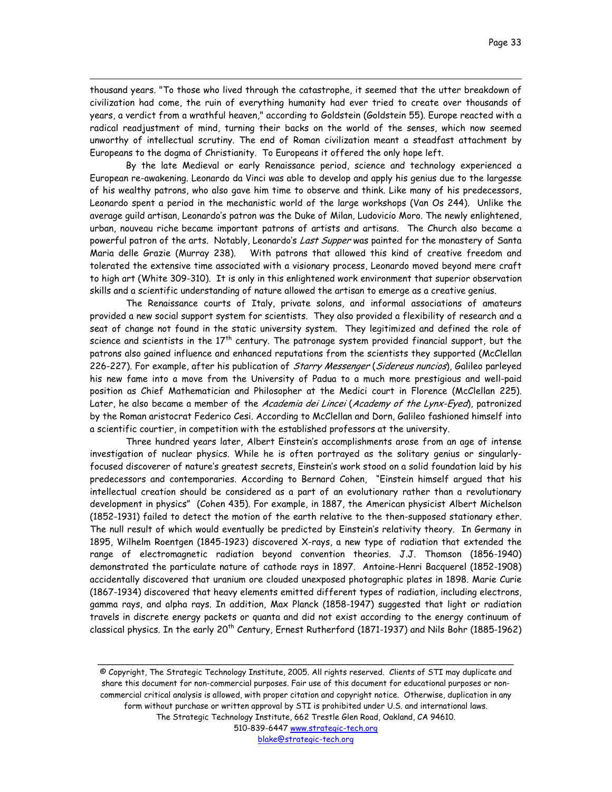thousand years. "To those who lived through the catastrophe, it seemed that the utter breakdown of civilization had come, the ruin of everything humanity had ever tried to create over thousands of years, a verdict from a wrathful heaven," according to Goldstein (Goldstein 55). Europe reacted with a radical readjustment of mind, turning their backs on the world of the senses, which now seemed unworthy of intellectual scrutiny. The end of Roman civilization meant a steadfast attachment by Europeans to the dogma of Christianity. To Europeans it offered the only hope left.

 $\overline{a}$ 

By the late Medieval or early Renaissance period, science and technology experienced a European re-awakening. Leonardo da Vinci was able to develop and apply his genius due to the largesse of his wealthy patrons, who also gave him time to observe and think. Like many of his predecessors, Leonardo spent a period in the mechanistic world of the large workshops (Van Os 244). Unlike the average guild artisan, Leonardo's patron was the Duke of Milan, Ludovicio Moro. The newly enlightened, urban, nouveau riche became important patrons of artists and artisans. The Church also became a powerful patron of the arts. Notably, Leonardo's Last Supper was painted for the monastery of Santa Maria delle Grazie (Murray 238). With patrons that allowed this kind of creative freedom and tolerated the extensive time associated with a visionary process, Leonardo moved beyond mere craft to high art (White 309-310). It is only in this enlightened work environment that superior observation skills and a scientific understanding of nature allowed the artisan to emerge as a creative genius.

The Renaissance courts of Italy, private solons, and informal associations of amateurs provided a new social support system for scientists. They also provided a flexibility of research and a seat of change not found in the static university system. They legitimized and defined the role of science and scientists in the  $17<sup>th</sup>$  century. The patronage system provided financial support, but the patrons also gained influence and enhanced reputations from the scientists they supported (McClellan 226-227). For example, after his publication of *Starry Messenger (Sidereus nuncios*), Galileo parleyed his new fame into a move from the University of Padua to a much more prestigious and well-paid position as Chief Mathematician and Philosopher at the Medici court in Florence (McClellan 225). Later, he also became a member of the Academia dei Lincei (Academy of the Lynx-Eyed), patronized by the Roman aristocrat Federico Cesi. According to McClellan and Dorn, Galileo fashioned himself into a scientific courtier, in competition with the established professors at the university.

Three hundred years later, Albert Einstein's accomplishments arose from an age of intense investigation of nuclear physics. While he is often portrayed as the solitary genius or singularlyfocused discoverer of nature's greatest secrets, Einstein's work stood on a solid foundation laid by his predecessors and contemporaries. According to Bernard Cohen, "Einstein himself argued that his intellectual creation should be considered as a part of an evolutionary rather than a revolutionary development in physics" (Cohen 435). For example, in 1887, the American physicist Albert Michelson (1852-1931) failed to detect the motion of the earth relative to the then-supposed stationary ether. The null result of which would eventually be predicted by Einstein's relativity theory. In Germany in 1895, Wilhelm Roentgen (1845-1923) discovered X-rays, a new type of radiation that extended the range of electromagnetic radiation beyond convention theories. J.J. Thomson (1856-1940) demonstrated the particulate nature of cathode rays in 1897. Antoine-Henri Bacquerel (1852-1908) accidentally discovered that uranium ore clouded unexposed photographic plates in 1898. Marie Curie (1867-1934) discovered that heavy elements emitted different types of radiation, including electrons, gamma rays, and alpha rays. In addition, Max Planck (1858-1947) suggested that light or radiation travels in discrete energy packets or quanta and did not exist according to the energy continuum of classical physics. In the early 20<sup>th</sup> Century, Ernest Rutherford (1871-1937) and Nils Bohr (1885-1962)

© Copyright, The Strategic Technology Institute, 2005. All rights reserved. Clients of STI may duplicate and share this document for non-commercial purposes. Fair use of this document for educational purposes or noncommercial critical analysis is allowed, with proper citation and copyright notice. Otherwise, duplication in any form without purchase or written approval by STI is prohibited under U.S. and international laws. The Strategic Technology Institute, 662 Trestle Glen Road, Oakland, CA 94610. 510-839-6447 www.strategic-tech.org

\_\_\_\_\_\_\_\_\_\_\_\_\_\_\_\_\_\_\_\_\_\_\_\_\_\_\_\_\_\_\_\_\_\_\_\_\_\_\_\_\_\_\_\_\_\_\_\_\_\_\_\_\_\_\_\_\_\_\_\_\_\_\_\_\_\_\_\_\_\_\_\_\_\_\_\_\_\_\_\_\_\_\_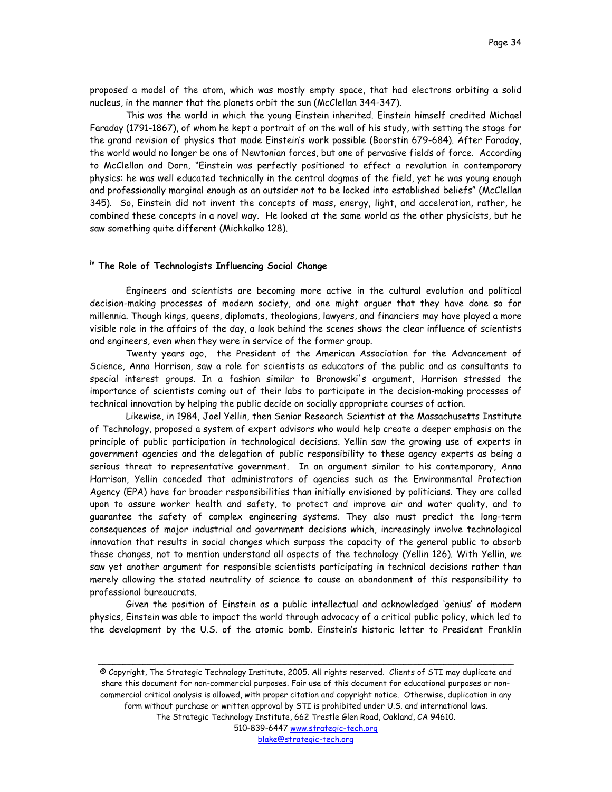proposed a model of the atom, which was mostly empty space, that had electrons orbiting a solid nucleus, in the manner that the planets orbit the sun (McClellan 344-347).

This was the world in which the young Einstein inherited. Einstein himself credited Michael Faraday (1791-1867), of whom he kept a portrait of on the wall of his study, with setting the stage for the grand revision of physics that made Einstein's work possible (Boorstin 679-684). After Faraday, the world would no longer be one of Newtonian forces, but one of pervasive fields of force. According to McClellan and Dorn, "Einstein was perfectly positioned to effect a revolution in contemporary physics: he was well educated technically in the central dogmas of the field, yet he was young enough and professionally marginal enough as an outsider not to be locked into established beliefs" (McClellan 345). So, Einstein did not invent the concepts of mass, energy, light, and acceleration, rather, he combined these concepts in a novel way. He looked at the same world as the other physicists, but he saw something quite different (Michkalko 128).

#### **iv The Role of Technologists Influencing Social Change**

 $\overline{a}$ 

Engineers and scientists are becoming more active in the cultural evolution and political decision-making processes of modern society, and one might arguer that they have done so for millennia. Though kings, queens, diplomats, theologians, lawyers, and financiers may have played a more visible role in the affairs of the day, a look behind the scenes shows the clear influence of scientists and engineers, even when they were in service of the former group.

Twenty years ago, the President of the American Association for the Advancement of Science, Anna Harrison, saw a role for scientists as educators of the public and as consultants to special interest groups. In a fashion similar to Bronowski's argument, Harrison stressed the importance of scientists coming out of their labs to participate in the decision-making processes of technical innovation by helping the public decide on socially appropriate courses of action.

Likewise, in 1984, Joel Yellin, then Senior Research Scientist at the Massachusetts Institute of Technology, proposed a system of expert advisors who would help create a deeper emphasis on the principle of public participation in technological decisions. Yellin saw the growing use of experts in government agencies and the delegation of public responsibility to these agency experts as being a serious threat to representative government. In an argument similar to his contemporary, Anna Harrison, Yellin conceded that administrators of agencies such as the Environmental Protection Agency (EPA) have far broader responsibilities than initially envisioned by politicians. They are called upon to assure worker health and safety, to protect and improve air and water quality, and to guarantee the safety of complex engineering systems. They also must predict the long-term consequences of major industrial and government decisions which, increasingly involve technological innovation that results in social changes which surpass the capacity of the general public to absorb these changes, not to mention understand all aspects of the technology (Yellin 126). With Yellin, we saw yet another argument for responsible scientists participating in technical decisions rather than merely allowing the stated neutrality of science to cause an abandonment of this responsibility to professional bureaucrats.

Given the position of Einstein as a public intellectual and acknowledged 'genius' of modern physics, Einstein was able to impact the world through advocacy of a critical public policy, which led to the development by the U.S. of the atomic bomb. Einstein's historic letter to President Franklin

© Copyright, The Strategic Technology Institute, 2005. All rights reserved. Clients of STI may duplicate and share this document for non-commercial purposes. Fair use of this document for educational purposes or noncommercial critical analysis is allowed, with proper citation and copyright notice. Otherwise, duplication in any form without purchase or written approval by STI is prohibited under U.S. and international laws. The Strategic Technology Institute, 662 Trestle Glen Road, Oakland, CA 94610. 510-839-6447 www.strategic-tech.org blake@strategic-tech.org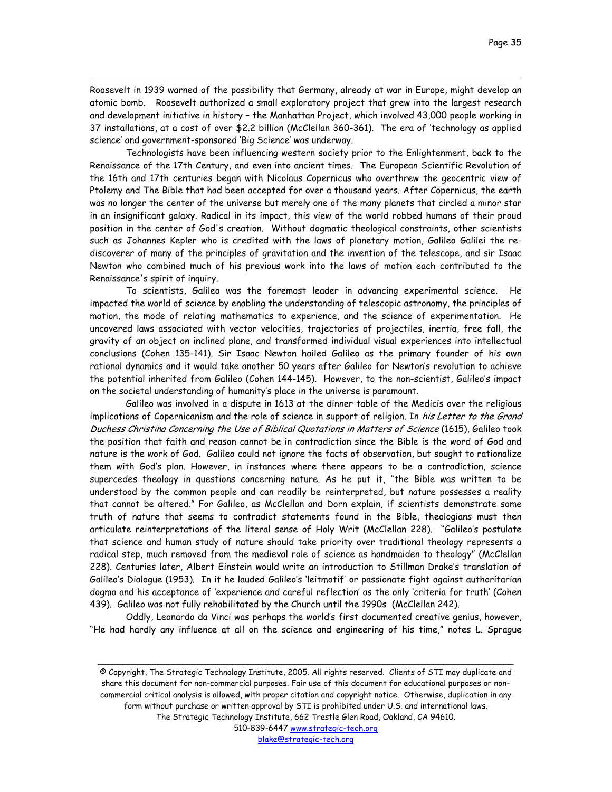Roosevelt in 1939 warned of the possibility that Germany, already at war in Europe, might develop an atomic bomb. Roosevelt authorized a small exploratory project that grew into the largest research and development initiative in history – the Manhattan Project, which involved 43,000 people working in 37 installations, at a cost of over \$2.2 billion (McClellan 360-361). The era of 'technology as applied science' and government-sponsored 'Big Science' was underway.

 $\overline{a}$ 

Technologists have been influencing western society prior to the Enlightenment, back to the Renaissance of the 17th Century, and even into ancient times. The European Scientific Revolution of the 16th and 17th centuries began with Nicolaus Copernicus who overthrew the geocentric view of Ptolemy and The Bible that had been accepted for over a thousand years. After Copernicus, the earth was no longer the center of the universe but merely one of the many planets that circled a minor star in an insignificant galaxy. Radical in its impact, this view of the world robbed humans of their proud position in the center of God's creation. Without dogmatic theological constraints, other scientists such as Johannes Kepler who is credited with the laws of planetary motion, Galileo Galilei the rediscoverer of many of the principles of gravitation and the invention of the telescope, and sir Isaac Newton who combined much of his previous work into the laws of motion each contributed to the Renaissance's spirit of inquiry.

To scientists, Galileo was the foremost leader in advancing experimental science. He impacted the world of science by enabling the understanding of telescopic astronomy, the principles of motion, the mode of relating mathematics to experience, and the science of experimentation. He uncovered laws associated with vector velocities, trajectories of projectiles, inertia, free fall, the gravity of an object on inclined plane, and transformed individual visual experiences into intellectual conclusions (Cohen 135-141). Sir Isaac Newton hailed Galileo as the primary founder of his own rational dynamics and it would take another 50 years after Galileo for Newton's revolution to achieve the potential inherited from Galileo (Cohen 144-145). However, to the non-scientist, Galileo's impact on the societal understanding of humanity's place in the universe is paramount.

Galileo was involved in a dispute in 1613 at the dinner table of the Medicis over the religious implications of Copernicanism and the role of science in support of religion. In his Letter to the Grand Duchess Christina Concerning the Use of Biblical Quotations in Matters of Science (1615), Galileo took the position that faith and reason cannot be in contradiction since the Bible is the word of God and nature is the work of God. Galileo could not ignore the facts of observation, but sought to rationalize them with God's plan. However, in instances where there appears to be a contradiction, science supercedes theology in questions concerning nature. As he put it, "the Bible was written to be understood by the common people and can readily be reinterpreted, but nature possesses a reality that cannot be altered." For Galileo, as McClellan and Dorn explain, if scientists demonstrate some truth of nature that seems to contradict statements found in the Bible, theologians must then articulate reinterpretations of the literal sense of Holy Writ (McClellan 228). "Galileo's postulate that science and human study of nature should take priority over traditional theology represents a radical step, much removed from the medieval role of science as handmaiden to theology" (McClellan 228). Centuries later, Albert Einstein would write an introduction to Stillman Drake's translation of Galileo's Dialogue (1953). In it he lauded Galileo's 'leitmotif' or passionate fight against authoritarian dogma and his acceptance of 'experience and careful reflection' as the only 'criteria for truth' (Cohen 439). Galileo was not fully rehabilitated by the Church until the 1990s (McClellan 242).

Oddly, Leonardo da Vinci was perhaps the world's first documented creative genius, however, "He had hardly any influence at all on the science and engineering of his time," notes L. Sprague

<sup>©</sup> Copyright, The Strategic Technology Institute, 2005. All rights reserved. Clients of STI may duplicate and share this document for non-commercial purposes. Fair use of this document for educational purposes or noncommercial critical analysis is allowed, with proper citation and copyright notice. Otherwise, duplication in any form without purchase or written approval by STI is prohibited under U.S. and international laws. The Strategic Technology Institute, 662 Trestle Glen Road, Oakland, CA 94610.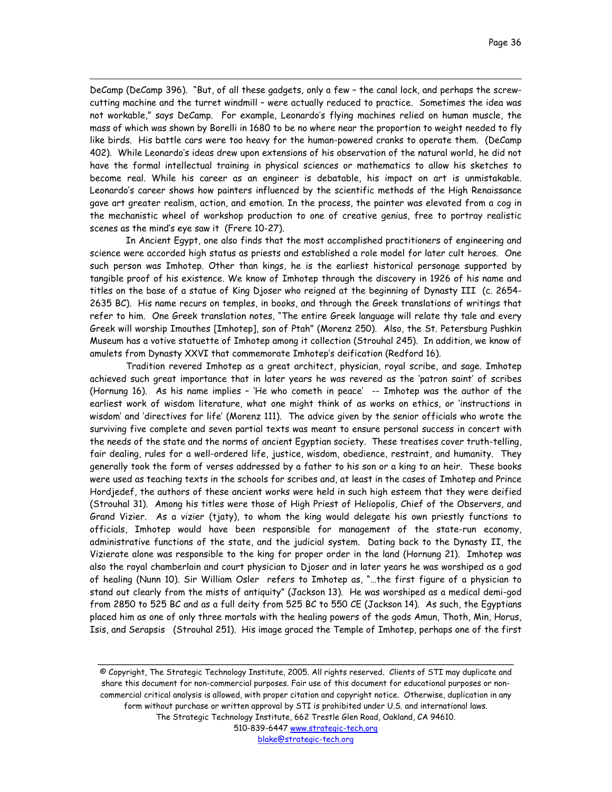DeCamp (DeCamp 396). "But, of all these gadgets, only a few – the canal lock, and perhaps the screwcutting machine and the turret windmill – were actually reduced to practice. Sometimes the idea was not workable," says DeCamp. For example, Leonardo's flying machines relied on human muscle, the mass of which was shown by Borelli in 1680 to be no where near the proportion to weight needed to fly like birds. His battle cars were too heavy for the human-powered cranks to operate them. (DeCamp 402). While Leonardo's ideas drew upon extensions of his observation of the natural world, he did not have the formal intellectual training in physical sciences or mathematics to allow his sketches to become real. While his career as an engineer is debatable, his impact on art is unmistakable. Leonardo's career shows how painters influenced by the scientific methods of the High Renaissance gave art greater realism, action, and emotion. In the process, the painter was elevated from a cog in the mechanistic wheel of workshop production to one of creative genius, free to portray realistic scenes as the mind's eye saw it (Frere 10-27).

 $\overline{a}$ 

In Ancient Egypt, one also finds that the most accomplished practitioners of engineering and science were accorded high status as priests and established a role model for later cult heroes. One such person was Imhotep. Other than kings, he is the earliest historical personage supported by tangible proof of his existence. We know of Imhotep through the discovery in 1926 of his name and titles on the base of a statue of King Djoser who reigned at the beginning of Dynasty III (c. 2654- 2635 BC). His name recurs on temples, in books, and through the Greek translations of writings that refer to him. One Greek translation notes, "The entire Greek language will relate thy tale and every Greek will worship Imouthes [Imhotep], son of Ptah" (Morenz 250). Also, the St. Petersburg Pushkin Museum has a votive statuette of Imhotep among it collection (Strouhal 245). In addition, we know of amulets from Dynasty XXVI that commemorate Imhotep's deification (Redford 16).

Tradition revered Imhotep as a great architect, physician, royal scribe, and sage. Imhotep achieved such great importance that in later years he was revered as the 'patron saint' of scribes (Hornung 16). As his name implies – 'He who cometh in peace' -- Imhotep was the author of the earliest work of wisdom literature, what one might think of as works on ethics, or 'instructions in wisdom' and 'directives for life' (Morenz 111). The advice given by the senior officials who wrote the surviving five complete and seven partial texts was meant to ensure personal success in concert with the needs of the state and the norms of ancient Egyptian society. These treatises cover truth-telling, fair dealing, rules for a well-ordered life, justice, wisdom, obedience, restraint, and humanity. They generally took the form of verses addressed by a father to his son or a king to an heir. These books were used as teaching texts in the schools for scribes and, at least in the cases of Imhotep and Prince Hordjedef, the authors of these ancient works were held in such high esteem that they were deified (Strouhal 31). Among his titles were those of High Priest of Heliopolis, Chief of the Observers, and Grand Vizier. As a vizier (tjaty), to whom the king would delegate his own priestly functions to officials, Imhotep would have been responsible for management of the state-run economy, administrative functions of the state, and the judicial system. Dating back to the Dynasty II, the Vizierate alone was responsible to the king for proper order in the land (Hornung 21). Imhotep was also the royal chamberlain and court physician to Djoser and in later years he was worshiped as a god of healing (Nunn 10). Sir William Osler refers to Imhotep as, "…the first figure of a physician to stand out clearly from the mists of antiquity" (Jackson 13). He was worshiped as a medical demi-god from 2850 to 525 BC and as a full deity from 525 BC to 550 CE (Jackson 14). As such, the Egyptians placed him as one of only three mortals with the healing powers of the gods Amun, Thoth, Min, Horus, Isis, and Serapsis (Strouhal 251). His image graced the Temple of Imhotep, perhaps one of the first

© Copyright, The Strategic Technology Institute, 2005. All rights reserved. Clients of STI may duplicate and share this document for non-commercial purposes. Fair use of this document for educational purposes or noncommercial critical analysis is allowed, with proper citation and copyright notice. Otherwise, duplication in any form without purchase or written approval by STI is prohibited under U.S. and international laws. The Strategic Technology Institute, 662 Trestle Glen Road, Oakland, CA 94610. 510-839-6447 www.strategic-tech.org

\_\_\_\_\_\_\_\_\_\_\_\_\_\_\_\_\_\_\_\_\_\_\_\_\_\_\_\_\_\_\_\_\_\_\_\_\_\_\_\_\_\_\_\_\_\_\_\_\_\_\_\_\_\_\_\_\_\_\_\_\_\_\_\_\_\_\_\_\_\_\_\_\_\_\_\_\_\_\_\_\_\_\_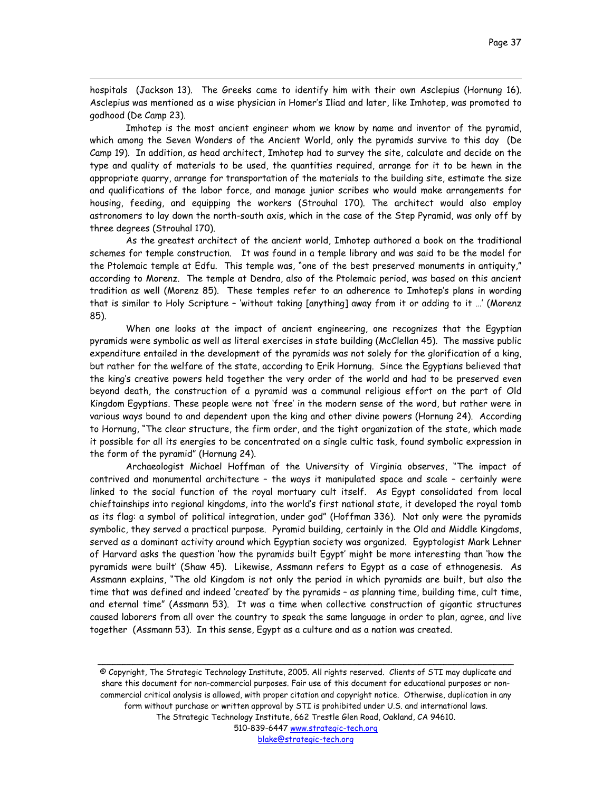hospitals (Jackson 13). The Greeks came to identify him with their own Asclepius (Hornung 16). Asclepius was mentioned as a wise physician in Homer's Iliad and later, like Imhotep, was promoted to godhood (De Camp 23).

 $\overline{a}$ 

Imhotep is the most ancient engineer whom we know by name and inventor of the pyramid, which among the Seven Wonders of the Ancient World, only the pyramids survive to this day (De Camp 19). In addition, as head architect, Imhotep had to survey the site, calculate and decide on the type and quality of materials to be used, the quantities required, arrange for it to be hewn in the appropriate quarry, arrange for transportation of the materials to the building site, estimate the size and qualifications of the labor force, and manage junior scribes who would make arrangements for housing, feeding, and equipping the workers (Strouhal 170). The architect would also employ astronomers to lay down the north-south axis, which in the case of the Step Pyramid, was only off by three degrees (Strouhal 170).

As the greatest architect of the ancient world, Imhotep authored a book on the traditional schemes for temple construction. It was found in a temple library and was said to be the model for the Ptolemaic temple at Edfu. This temple was, "one of the best preserved monuments in antiquity," according to Morenz. The temple at Dendra, also of the Ptolemaic period, was based on this ancient tradition as well (Morenz 85). These temples refer to an adherence to Imhotep's plans in wording that is similar to Holy Scripture – 'without taking [anything] away from it or adding to it …' (Morenz 85).

When one looks at the impact of ancient engineering, one recognizes that the Egyptian pyramids were symbolic as well as literal exercises in state building (McClellan 45). The massive public expenditure entailed in the development of the pyramids was not solely for the glorification of a king, but rather for the welfare of the state, according to Erik Hornung. Since the Egyptians believed that the king's creative powers held together the very order of the world and had to be preserved even beyond death, the construction of a pyramid was a communal religious effort on the part of Old Kingdom Egyptians. These people were not 'free' in the modern sense of the word, but rather were in various ways bound to and dependent upon the king and other divine powers (Hornung 24). According to Hornung, "The clear structure, the firm order, and the tight organization of the state, which made it possible for all its energies to be concentrated on a single cultic task, found symbolic expression in the form of the pyramid" (Hornung 24).

Archaeologist Michael Hoffman of the University of Virginia observes, "The impact of contrived and monumental architecture – the ways it manipulated space and scale – certainly were linked to the social function of the royal mortuary cult itself. As Egypt consolidated from local chieftainships into regional kingdoms, into the world's first national state, it developed the royal tomb as its flag: a symbol of political integration, under god" (Hoffman 336). Not only were the pyramids symbolic, they served a practical purpose. Pyramid building, certainly in the Old and Middle Kingdoms, served as a dominant activity around which Egyptian society was organized. Egyptologist Mark Lehner of Harvard asks the question 'how the pyramids built Egypt' might be more interesting than 'how the pyramids were built' (Shaw 45). Likewise, Assmann refers to Egypt as a case of ethnogenesis. As Assmann explains, "The old Kingdom is not only the period in which pyramids are built, but also the time that was defined and indeed 'created' by the pyramids – as planning time, building time, cult time, and eternal time" (Assmann 53). It was a time when collective construction of gigantic structures caused laborers from all over the country to speak the same language in order to plan, agree, and live together (Assmann 53). In this sense, Egypt as a culture and as a nation was created.

© Copyright, The Strategic Technology Institute, 2005. All rights reserved. Clients of STI may duplicate and share this document for non-commercial purposes. Fair use of this document for educational purposes or noncommercial critical analysis is allowed, with proper citation and copyright notice. Otherwise, duplication in any form without purchase or written approval by STI is prohibited under U.S. and international laws. The Strategic Technology Institute, 662 Trestle Glen Road, Oakland, CA 94610. 510-839-6447 www.strategic-tech.org blake@strategic-tech.org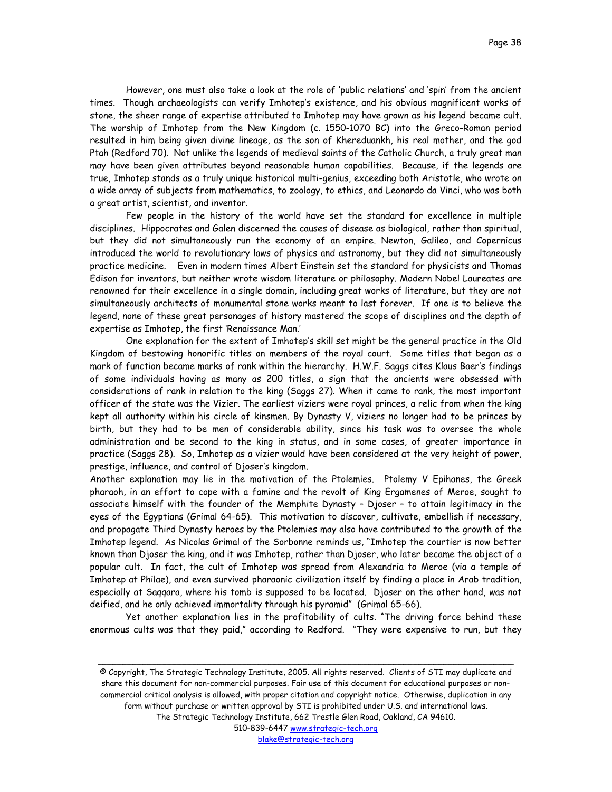However, one must also take a look at the role of 'public relations' and 'spin' from the ancient times. Though archaeologists can verify Imhotep's existence, and his obvious magnificent works of stone, the sheer range of expertise attributed to Imhotep may have grown as his legend became cult. The worship of Imhotep from the New Kingdom (c. 1550-1070 BC) into the Greco-Roman period resulted in him being given divine lineage, as the son of Khereduankh, his real mother, and the god Ptah (Redford 70). Not unlike the legends of medieval saints of the Catholic Church, a truly great man may have been given attributes beyond reasonable human capabilities. Because, if the legends are true, Imhotep stands as a truly unique historical multi-genius, exceeding both Aristotle, who wrote on a wide array of subjects from mathematics, to zoology, to ethics, and Leonardo da Vinci, who was both a great artist, scientist, and inventor.

 $\overline{a}$ 

Few people in the history of the world have set the standard for excellence in multiple disciplines. Hippocrates and Galen discerned the causes of disease as biological, rather than spiritual, but they did not simultaneously run the economy of an empire. Newton, Galileo, and Copernicus introduced the world to revolutionary laws of physics and astronomy, but they did not simultaneously practice medicine. Even in modern times Albert Einstein set the standard for physicists and Thomas Edison for inventors, but neither wrote wisdom literature or philosophy. Modern Nobel Laureates are renowned for their excellence in a single domain, including great works of literature, but they are not simultaneously architects of monumental stone works meant to last forever. If one is to believe the legend, none of these great personages of history mastered the scope of disciplines and the depth of expertise as Imhotep, the first 'Renaissance Man.'

One explanation for the extent of Imhotep's skill set might be the general practice in the Old Kingdom of bestowing honorific titles on members of the royal court. Some titles that began as a mark of function became marks of rank within the hierarchy. H.W.F. Saggs cites Klaus Baer's findings of some individuals having as many as 200 titles, a sign that the ancients were obsessed with considerations of rank in relation to the king (Saggs 27). When it came to rank, the most important officer of the state was the Vizier. The earliest viziers were royal princes, a relic from when the king kept all authority within his circle of kinsmen. By Dynasty V, viziers no longer had to be princes by birth, but they had to be men of considerable ability, since his task was to oversee the whole administration and be second to the king in status, and in some cases, of greater importance in practice (Saggs 28). So, Imhotep as a vizier would have been considered at the very height of power, prestige, influence, and control of Djoser's kingdom.

Another explanation may lie in the motivation of the Ptolemies. Ptolemy V Epihanes, the Greek pharaoh, in an effort to cope with a famine and the revolt of King Ergamenes of Meroe, sought to associate himself with the founder of the Memphite Dynasty – Djoser – to attain legitimacy in the eyes of the Egyptians (Grimal 64-65). This motivation to discover, cultivate, embellish if necessary, and propagate Third Dynasty heroes by the Ptolemies may also have contributed to the growth of the Imhotep legend. As Nicolas Grimal of the Sorbonne reminds us, "Imhotep the courtier is now better known than Djoser the king, and it was Imhotep, rather than Djoser, who later became the object of a popular cult. In fact, the cult of Imhotep was spread from Alexandria to Meroe (via a temple of Imhotep at Philae), and even survived pharaonic civilization itself by finding a place in Arab tradition, especially at Saqqara, where his tomb is supposed to be located. Djoser on the other hand, was not deified, and he only achieved immortality through his pyramid" (Grimal 65-66).

Yet another explanation lies in the profitability of cults. "The driving force behind these enormous cults was that they paid," according to Redford. "They were expensive to run, but they

<sup>©</sup> Copyright, The Strategic Technology Institute, 2005. All rights reserved. Clients of STI may duplicate and share this document for non-commercial purposes. Fair use of this document for educational purposes or noncommercial critical analysis is allowed, with proper citation and copyright notice. Otherwise, duplication in any form without purchase or written approval by STI is prohibited under U.S. and international laws. The Strategic Technology Institute, 662 Trestle Glen Road, Oakland, CA 94610.